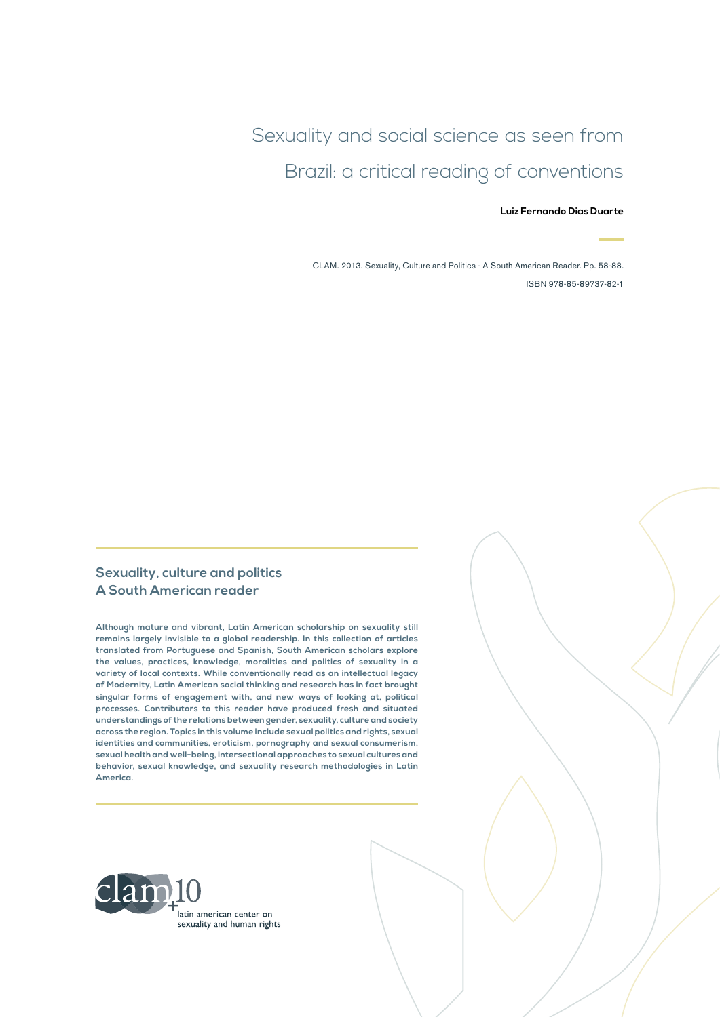Sexuality and social science as seen from Brazil: a critical reading of conventions

#### **Luiz Fernando Dias Duarte**

CLAM. 2013. Sexuality, Culture and Politics - A South American Reader. Pp. 58-88. ISBN 978-85-89737-82-1

#### **Sexuality, culture and politics A South American reader**

**Although mature and vibrant, Latin American scholarship on sexuality still remains largely invisible to a global readership. In this collection of articles translated from Portuguese and Spanish, South American scholars explore the values, practices, knowledge, moralities and politics of sexuality in a variety of local contexts. While conventionally read as an intellectual legacy of Modernity, Latin American social thinking and research has in fact brought singular forms of engagement with, and new ways of looking at, political processes. Contributors to this reader have produced fresh and situated understandings of the relations between gender, sexuality, culture and society across the region. Topics in this volume include sexual politics and rights, sexual identities and communities, eroticism, pornography and sexual consumerism, sexual health and well-being, intersectional approaches to sexual cultures and behavior, sexual knowledge, and sexuality research methodologies in Latin America.**

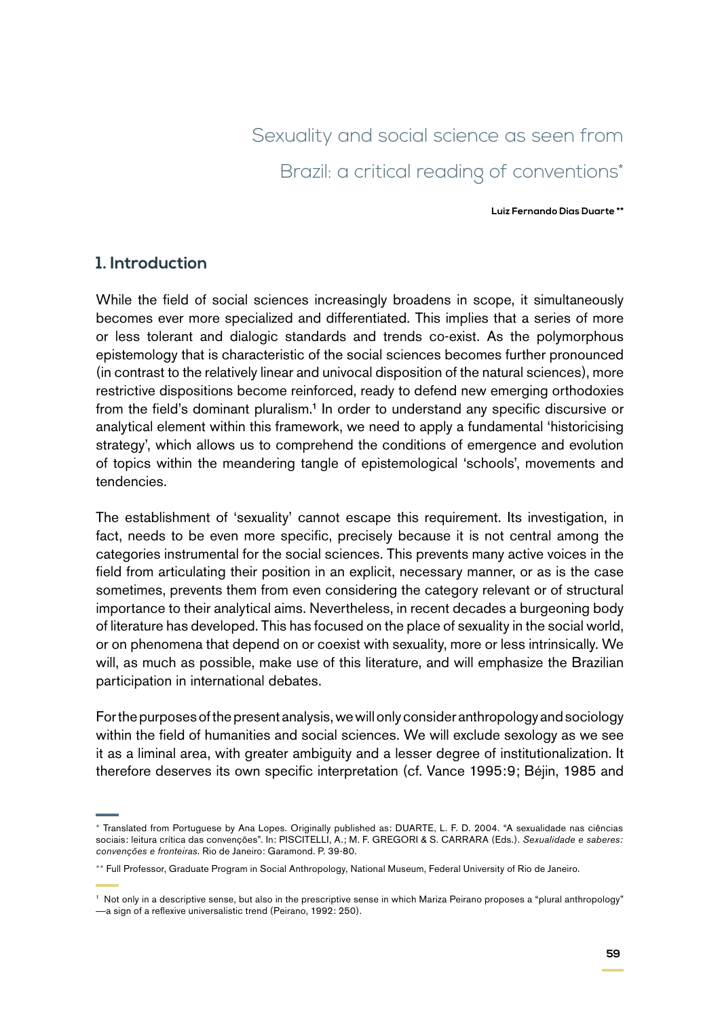# Sexuality and social science as seen from Brazil: a critical reading of conventions\*

**Luiz Fernando Dias Duarte \*\***

#### **1. Introduction**

While the field of social sciences increasingly broadens in scope, it simultaneously becomes ever more specialized and differentiated. This implies that a series of more or less tolerant and dialogic standards and trends co-exist. As the polymorphous epistemology that is characteristic of the social sciences becomes further pronounced (in contrast to the relatively linear and univocal disposition of the natural sciences), more restrictive dispositions become reinforced, ready to defend new emerging orthodoxies from the field's dominant pluralism.<sup>1</sup> In order to understand any specific discursive or analytical element within this framework, we need to apply a fundamental 'historicising strategy', which allows us to comprehend the conditions of emergence and evolution of topics within the meandering tangle of epistemological 'schools', movements and tendencies.

The establishment of 'sexuality' cannot escape this requirement. Its investigation, in fact, needs to be even more specific, precisely because it is not central among the categories instrumental for the social sciences. This prevents many active voices in the field from articulating their position in an explicit, necessary manner, or as is the case sometimes, prevents them from even considering the category relevant or of structural importance to their analytical aims. Nevertheless, in recent decades a burgeoning body of literature has developed. This has focused on the place of sexuality in the social world, or on phenomena that depend on or coexist with sexuality, more or less intrinsically. We will, as much as possible, make use of this literature, and will emphasize the Brazilian participation in international debates.

For the purposes of the present analysis, we will only consider anthropology and sociology within the field of humanities and social sciences. We will exclude sexology as we see it as a liminal area, with greater ambiguity and a lesser degree of institutionalization. It therefore deserves its own specific interpretation (cf. Vance 1995:9; Béjin, 1985 and

<sup>\*</sup> Translated from Portuguese by Ana Lopes. Originally published as: DUARTE, L. F. D. 2004. "A sexualidade nas ciências sociais: leitura crítica das convenções". In: PISCITELLI, A.; M. F. GREGORI & S. CARRARA (Eds.). *Sexualidade e saberes: convenções e fronteiras.* Rio de Janeiro: Garamond. P. 39-80.

<sup>\*\*</sup> Full Professor, Graduate Program in Social Anthropology, National Museum, Federal University of Rio de Janeiro.

<sup>&</sup>lt;sup>1</sup> Not only in a descriptive sense, but also in the prescriptive sense in which Mariza Peirano proposes a "plural anthropology" —a sign of a reflexive universalistic trend (Peirano, 1992: 250).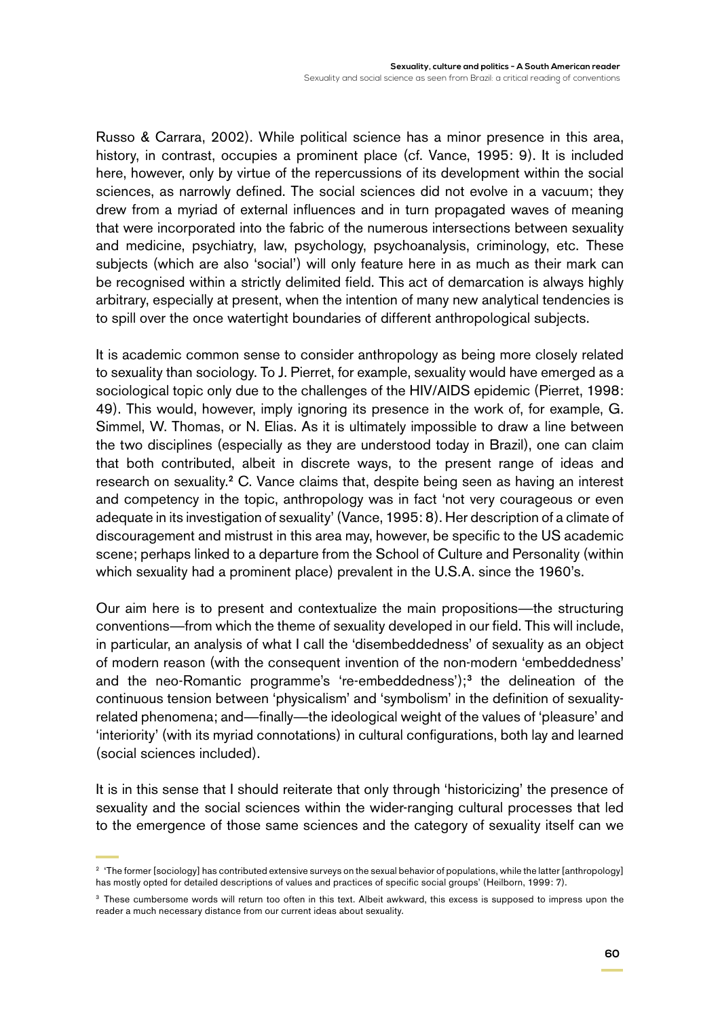Russo & Carrara, 2002). While political science has a minor presence in this area, history, in contrast, occupies a prominent place (cf. Vance, 1995: 9). It is included here, however, only by virtue of the repercussions of its development within the social sciences, as narrowly defined. The social sciences did not evolve in a vacuum; they drew from a myriad of external influences and in turn propagated waves of meaning that were incorporated into the fabric of the numerous intersections between sexuality and medicine, psychiatry, law, psychology, psychoanalysis, criminology, etc. These subjects (which are also 'social') will only feature here in as much as their mark can be recognised within a strictly delimited field. This act of demarcation is always highly arbitrary, especially at present, when the intention of many new analytical tendencies is to spill over the once watertight boundaries of different anthropological subjects.

It is academic common sense to consider anthropology as being more closely related to sexuality than sociology. To J. Pierret, for example, sexuality would have emerged as a sociological topic only due to the challenges of the HIV/AIDS epidemic (Pierret, 1998: 49). This would, however, imply ignoring its presence in the work of, for example, G. Simmel, W. Thomas, or N. Elias. As it is ultimately impossible to draw a line between the two disciplines (especially as they are understood today in Brazil), one can claim that both contributed, albeit in discrete ways, to the present range of ideas and research on sexuality.<sup>2</sup> C. Vance claims that, despite being seen as having an interest and competency in the topic, anthropology was in fact 'not very courageous or even adequate in its investigation of sexuality' (Vance, 1995: 8). Her description of a climate of discouragement and mistrust in this area may, however, be specific to the US academic scene; perhaps linked to a departure from the School of Culture and Personality (within which sexuality had a prominent place) prevalent in the U.S.A. since the 1960's.

Our aim here is to present and contextualize the main propositions—the structuring conventions—from which the theme of sexuality developed in our field. This will include, in particular, an analysis of what I call the 'disembeddedness' of sexuality as an object of modern reason (with the consequent invention of the non-modern 'embeddedness' and the neo-Romantic programme's 're-embeddedness');<sup>3</sup> the delineation of the continuous tension between 'physicalism' and 'symbolism' in the definition of sexualityrelated phenomena; and—finally—the ideological weight of the values of 'pleasure' and 'interiority' (with its myriad connotations) in cultural configurations, both lay and learned (social sciences included).

It is in this sense that I should reiterate that only through 'historicizing' the presence of sexuality and the social sciences within the wider-ranging cultural processes that led to the emergence of those same sciences and the category of sexuality itself can we

<sup>&</sup>lt;sup>2</sup> 'The former [sociology] has contributed extensive surveys on the sexual behavior of populations, while the latter [anthropology] has mostly opted for detailed descriptions of values and practices of specific social groups' (Heilborn, 1999: 7).

<sup>&</sup>lt;sup>3</sup> These cumbersome words will return too often in this text. Albeit awkward, this excess is supposed to impress upon the reader a much necessary distance from our current ideas about sexuality.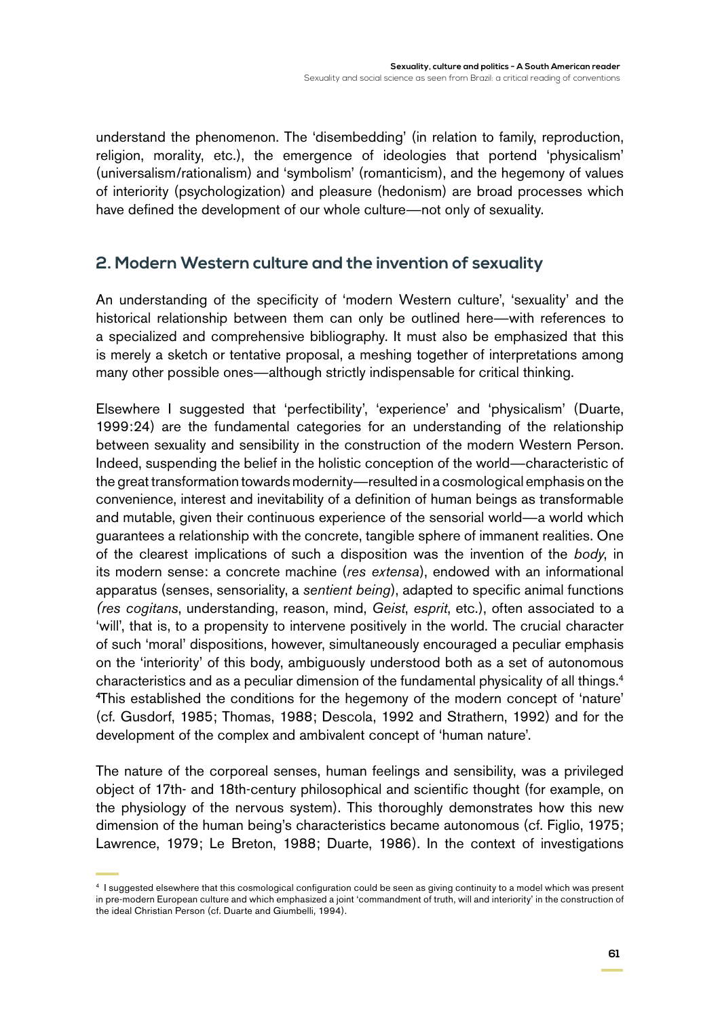understand the phenomenon. The 'disembedding' (in relation to family, reproduction, religion, morality, etc.), the emergence of ideologies that portend 'physicalism' (universalism/rationalism) and 'symbolism' (romanticism), and the hegemony of values of interiority (psychologization) and pleasure (hedonism) are broad processes which have defined the development of our whole culture—not only of sexuality.

### **2. Modern Western culture and the invention of sexuality**

An understanding of the specificity of 'modern Western culture', 'sexuality' and the historical relationship between them can only be outlined here—with references to a specialized and comprehensive bibliography. It must also be emphasized that this is merely a sketch or tentative proposal, a meshing together of interpretations among many other possible ones—although strictly indispensable for critical thinking.

Elsewhere I suggested that 'perfectibility', 'experience' and 'physicalism' (Duarte, 1999:24) are the fundamental categories for an understanding of the relationship between sexuality and sensibility in the construction of the modern Western Person. Indeed, suspending the belief in the holistic conception of the world—characteristic of the great transformation towards modernity—resulted in a cosmological emphasis on the convenience, interest and inevitability of a definition of human beings as transformable and mutable, given their continuous experience of the sensorial world—a world which guarantees a relationship with the concrete, tangible sphere of immanent realities. One of the clearest implications of such a disposition was the invention of the *body*, in its modern sense: a concrete machine (*res extensa*), endowed with an informational apparatus (senses, sensoriality, a *sentient being*), adapted to specific animal functions *(res cogitans*, understanding, reason, mind, *Geist*, *esprit*, etc.), often associated to a 'will', that is, to a propensity to intervene positively in the world. The crucial character of such 'moral' dispositions, however, simultaneously encouraged a peculiar emphasis on the 'interiority' of this body, ambiguously understood both as a set of autonomous characteristics and as a peculiar dimension of the fundamental physicality of all things.<sup>4</sup> 4 This established the conditions for the hegemony of the modern concept of 'nature' (cf. Gusdorf, 1985; Thomas, 1988; Descola, 1992 and Strathern, 1992) and for the development of the complex and ambivalent concept of 'human nature'.

The nature of the corporeal senses, human feelings and sensibility, was a privileged object of 17th- and 18th-century philosophical and scientific thought (for example, on the physiology of the nervous system). This thoroughly demonstrates how this new dimension of the human being's characteristics became autonomous (cf. Figlio, 1975; Lawrence, 1979; Le Breton, 1988; Duarte, 1986). In the context of investigations

<sup>4</sup> I suggested elsewhere that this cosmological configuration could be seen as giving continuity to a model which was present in pre-modern European culture and which emphasized a joint 'commandment of truth, will and interiority' in the construction of the ideal Christian Person (cf. Duarte and Giumbelli, 1994).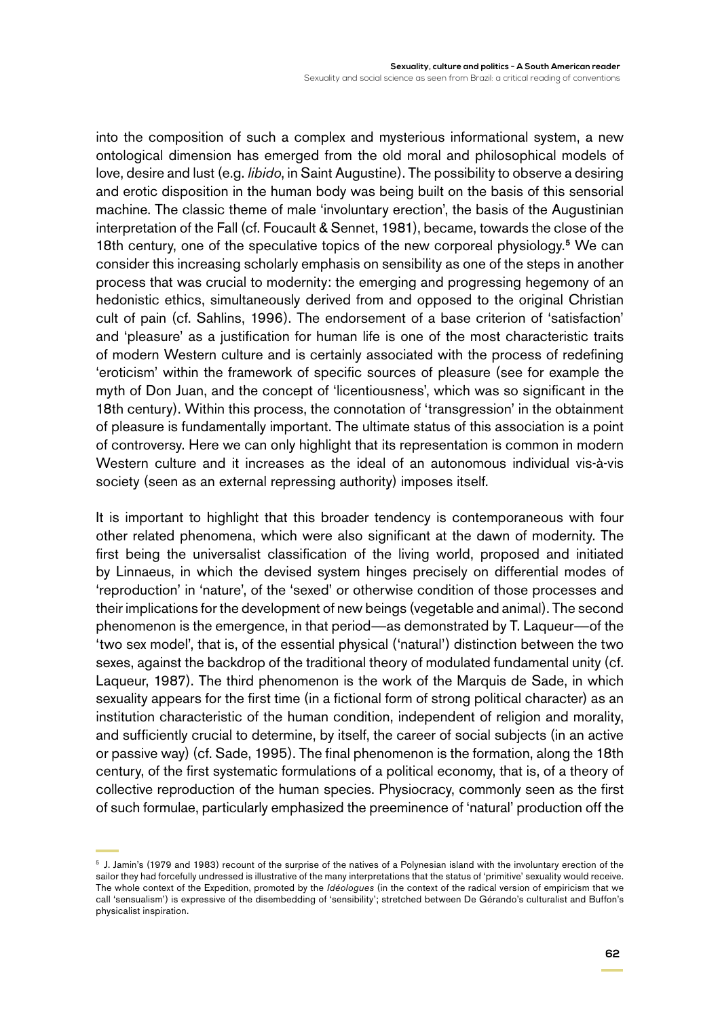into the composition of such a complex and mysterious informational system, a new ontological dimension has emerged from the old moral and philosophical models of love, desire and lust (e.g. *libido*, in Saint Augustine). The possibility to observe a desiring and erotic disposition in the human body was being built on the basis of this sensorial machine. The classic theme of male 'involuntary erection', the basis of the Augustinian interpretation of the Fall (cf. Foucault & Sennet, 1981), became, towards the close of the 18th century, one of the speculative topics of the new corporeal physiology.<sup>5</sup> We can consider this increasing scholarly emphasis on sensibility as one of the steps in another process that was crucial to modernity: the emerging and progressing hegemony of an hedonistic ethics, simultaneously derived from and opposed to the original Christian cult of pain (cf. Sahlins, 1996). The endorsement of a base criterion of 'satisfaction' and 'pleasure' as a justification for human life is one of the most characteristic traits of modern Western culture and is certainly associated with the process of redefining 'eroticism' within the framework of specific sources of pleasure (see for example the myth of Don Juan, and the concept of 'licentiousness', which was so significant in the 18th century). Within this process, the connotation of 'transgression' in the obtainment of pleasure is fundamentally important. The ultimate status of this association is a point of controversy. Here we can only highlight that its representation is common in modern Western culture and it increases as the ideal of an autonomous individual vis-à-vis society (seen as an external repressing authority) imposes itself.

It is important to highlight that this broader tendency is contemporaneous with four other related phenomena, which were also significant at the dawn of modernity. The first being the universalist classification of the living world, proposed and initiated by Linnaeus, in which the devised system hinges precisely on differential modes of 'reproduction' in 'nature', of the 'sexed' or otherwise condition of those processes and their implications for the development of new beings (vegetable and animal). The second phenomenon is the emergence, in that period—as demonstrated by T. Laqueur—of the 'two sex model', that is, of the essential physical ('natural') distinction between the two sexes, against the backdrop of the traditional theory of modulated fundamental unity (cf. Laqueur, 1987). The third phenomenon is the work of the Marquis de Sade, in which sexuality appears for the first time (in a fictional form of strong political character) as an institution characteristic of the human condition, independent of religion and morality, and sufficiently crucial to determine, by itself, the career of social subjects (in an active or passive way) (cf. Sade, 1995). The final phenomenon is the formation, along the 18th century, of the first systematic formulations of a political economy, that is, of a theory of collective reproduction of the human species. Physiocracy, commonly seen as the first of such formulae, particularly emphasized the preeminence of 'natural' production off the

<sup>5</sup> J. Jamin's (1979 and 1983) recount of the surprise of the natives of a Polynesian island with the involuntary erection of the sailor they had forcefully undressed is illustrative of the many interpretations that the status of 'primitive' sexuality would receive. The whole context of the Expedition, promoted by the *Idéologues* (in the context of the radical version of empiricism that we call 'sensualism') is expressive of the disembedding of 'sensibility'; stretched between De Gérando's culturalist and Buffon's physicalist inspiration.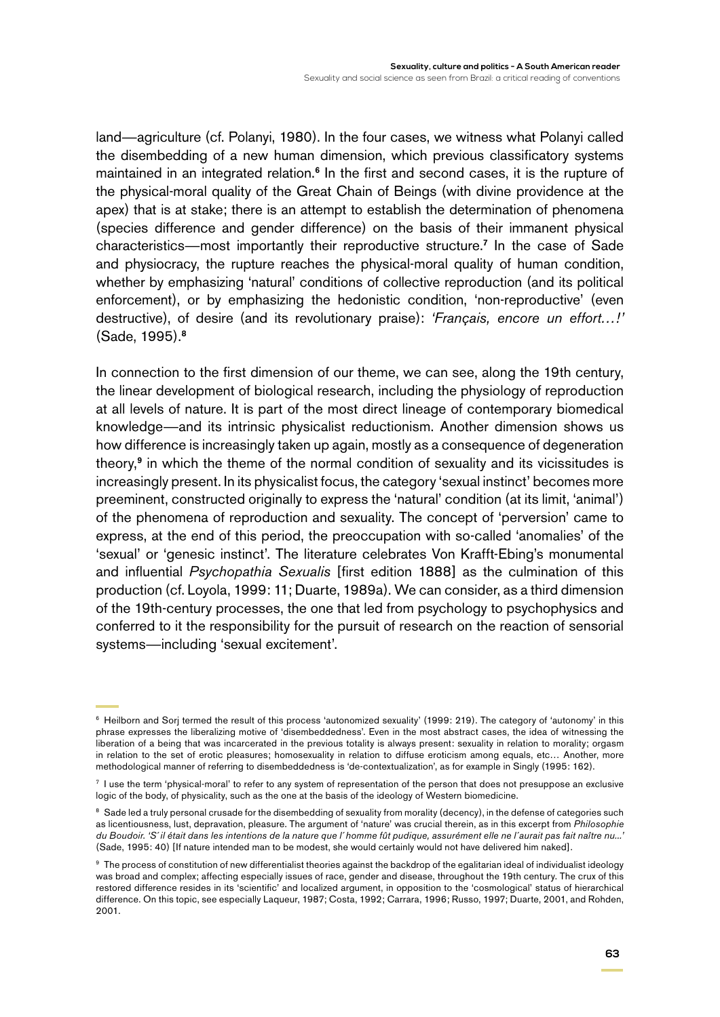land—agriculture (cf. Polanyi, 1980). In the four cases, we witness what Polanyi called the disembedding of a new human dimension, which previous classificatory systems maintained in an integrated relation.<sup>6</sup> In the first and second cases, it is the rupture of the physical-moral quality of the Great Chain of Beings (with divine providence at the apex) that is at stake; there is an attempt to establish the determination of phenomena (species difference and gender difference) on the basis of their immanent physical characteristics—most importantly their reproductive structure.<sup>7</sup> In the case of Sade and physiocracy, the rupture reaches the physical-moral quality of human condition, whether by emphasizing 'natural' conditions of collective reproduction (and its political enforcement), or by emphasizing the hedonistic condition, 'non-reproductive' (even destructive), of desire (and its revolutionary praise): *'Français, encore un effort…!'*  (Sade, 1995).<sup>8</sup>

In connection to the first dimension of our theme, we can see, along the 19th century, the linear development of biological research, including the physiology of reproduction at all levels of nature. It is part of the most direct lineage of contemporary biomedical knowledge—and its intrinsic physicalist reductionism. Another dimension shows us how difference is increasingly taken up again, mostly as a consequence of degeneration theory,<sup>9</sup> in which the theme of the normal condition of sexuality and its vicissitudes is increasingly present. In its physicalist focus, the category 'sexual instinct' becomes more preeminent, constructed originally to express the 'natural' condition (at its limit, 'animal') of the phenomena of reproduction and sexuality. The concept of 'perversion' came to express, at the end of this period, the preoccupation with so-called 'anomalies' of the 'sexual' or 'genesic instinct'. The literature celebrates Von Krafft-Ebing's monumental and influential *Psychopathia Sexualis* [first edition 1888] as the culmination of this production (cf. Loyola, 1999: 11; Duarte, 1989a). We can consider, as a third dimension of the 19th-century processes, the one that led from psychology to psychophysics and conferred to it the responsibility for the pursuit of research on the reaction of sensorial systems—including 'sexual excitement'.

<sup>6</sup> Heilborn and Sorj termed the result of this process 'autonomized sexuality' (1999: 219). The category of 'autonomy' in this phrase expresses the liberalizing motive of 'disembeddedness'. Even in the most abstract cases, the idea of witnessing the liberation of a being that was incarcerated in the previous totality is always present: sexuality in relation to morality; orgasm in relation to the set of erotic pleasures; homosexuality in relation to diffuse eroticism among equals, etc… Another, more methodological manner of referring to disembeddedness is 'de-contextualization', as for example in Singly (1995: 162).

<sup>7</sup> I use the term 'physical-moral' to refer to any system of representation of the person that does not presuppose an exclusive logic of the body, of physicality, such as the one at the basis of the ideology of Western biomedicine.

<sup>&</sup>lt;sup>8</sup> Sade led a truly personal crusade for the disembedding of sexuality from morality (decency), in the defense of categories such as licentiousness, lust, depravation, pleasure. The argument of 'nature' was crucial therein, as in this excerpt from *Philosophie du Boudoir*. *'S´il était dans les intentions de la nature que l´homme fût pudique, assurément elle ne l´aurait pas fait naître nu...'*  (Sade, 1995: 40) [If nature intended man to be modest, she would certainly would not have delivered him naked].

<sup>9</sup> The process of constitution of new differentialist theories against the backdrop of the egalitarian ideal of individualist ideology was broad and complex; affecting especially issues of race, gender and disease, throughout the 19th century. The crux of this restored difference resides in its 'scientific' and localized argument, in opposition to the 'cosmological' status of hierarchical difference. On this topic, see especially Laqueur, 1987; Costa, 1992; Carrara, 1996; Russo, 1997; Duarte, 2001, and Rohden, 2001.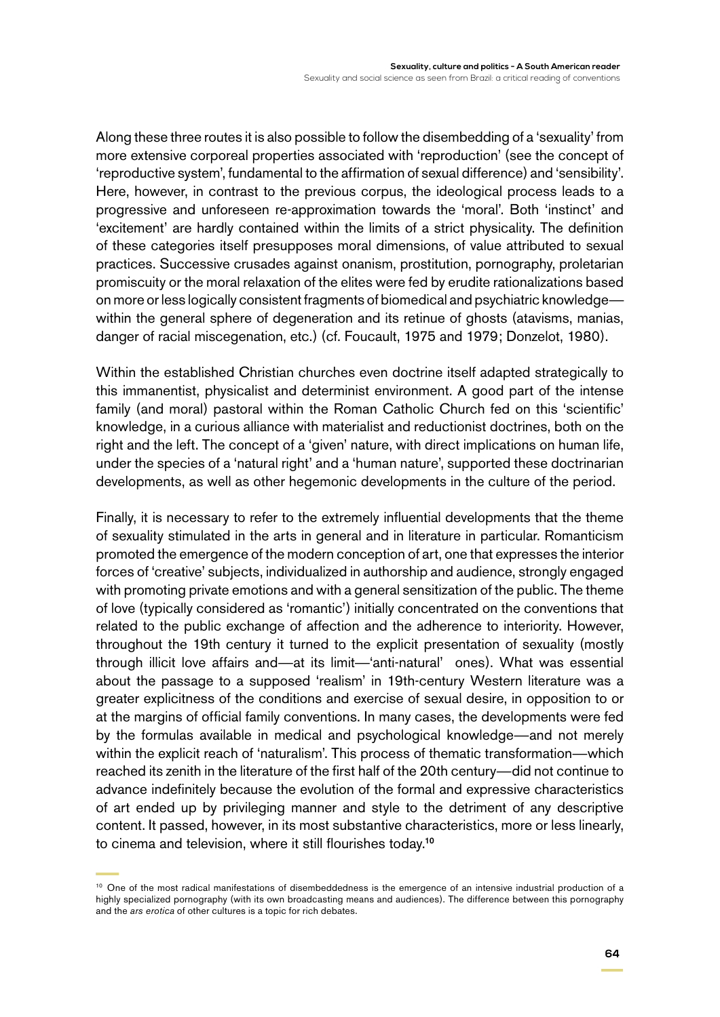Along these three routes it is also possible to follow the disembedding of a 'sexuality' from more extensive corporeal properties associated with 'reproduction' (see the concept of 'reproductive system', fundamental to the affirmation of sexual difference) and 'sensibility'. Here, however, in contrast to the previous corpus, the ideological process leads to a progressive and unforeseen re-approximation towards the 'moral'. Both 'instinct' and 'excitement' are hardly contained within the limits of a strict physicality. The definition of these categories itself presupposes moral dimensions, of value attributed to sexual practices. Successive crusades against onanism, prostitution, pornography, proletarian promiscuity or the moral relaxation of the elites were fed by erudite rationalizations based on more or less logically consistent fragments of biomedical and psychiatric knowledge within the general sphere of degeneration and its retinue of ghosts (atavisms, manias, danger of racial miscegenation, etc.) (cf. Foucault, 1975 and 1979; Donzelot, 1980).

Within the established Christian churches even doctrine itself adapted strategically to this immanentist, physicalist and determinist environment. A good part of the intense family (and moral) pastoral within the Roman Catholic Church fed on this 'scientific' knowledge, in a curious alliance with materialist and reductionist doctrines, both on the right and the left. The concept of a 'given' nature, with direct implications on human life, under the species of a 'natural right' and a 'human nature', supported these doctrinarian developments, as well as other hegemonic developments in the culture of the period.

Finally, it is necessary to refer to the extremely influential developments that the theme of sexuality stimulated in the arts in general and in literature in particular. Romanticism promoted the emergence of the modern conception of art, one that expresses the interior forces of 'creative' subjects, individualized in authorship and audience, strongly engaged with promoting private emotions and with a general sensitization of the public. The theme of love (typically considered as 'romantic') initially concentrated on the conventions that related to the public exchange of affection and the adherence to interiority. However, throughout the 19th century it turned to the explicit presentation of sexuality (mostly through illicit love affairs and—at its limit—'anti-natural' ones). What was essential about the passage to a supposed 'realism' in 19th-century Western literature was a greater explicitness of the conditions and exercise of sexual desire, in opposition to or at the margins of official family conventions. In many cases, the developments were fed by the formulas available in medical and psychological knowledge—and not merely within the explicit reach of 'naturalism'. This process of thematic transformation—which reached its zenith in the literature of the first half of the 20th century—did not continue to advance indefinitely because the evolution of the formal and expressive characteristics of art ended up by privileging manner and style to the detriment of any descriptive content. It passed, however, in its most substantive characteristics, more or less linearly, to cinema and television, where it still flourishes today.<sup>10</sup>

<sup>&</sup>lt;sup>10</sup> One of the most radical manifestations of disembeddedness is the emergence of an intensive industrial production of a highly specialized pornography (with its own broadcasting means and audiences). The difference between this pornography and the *ars erotica* of other cultures is a topic for rich debates.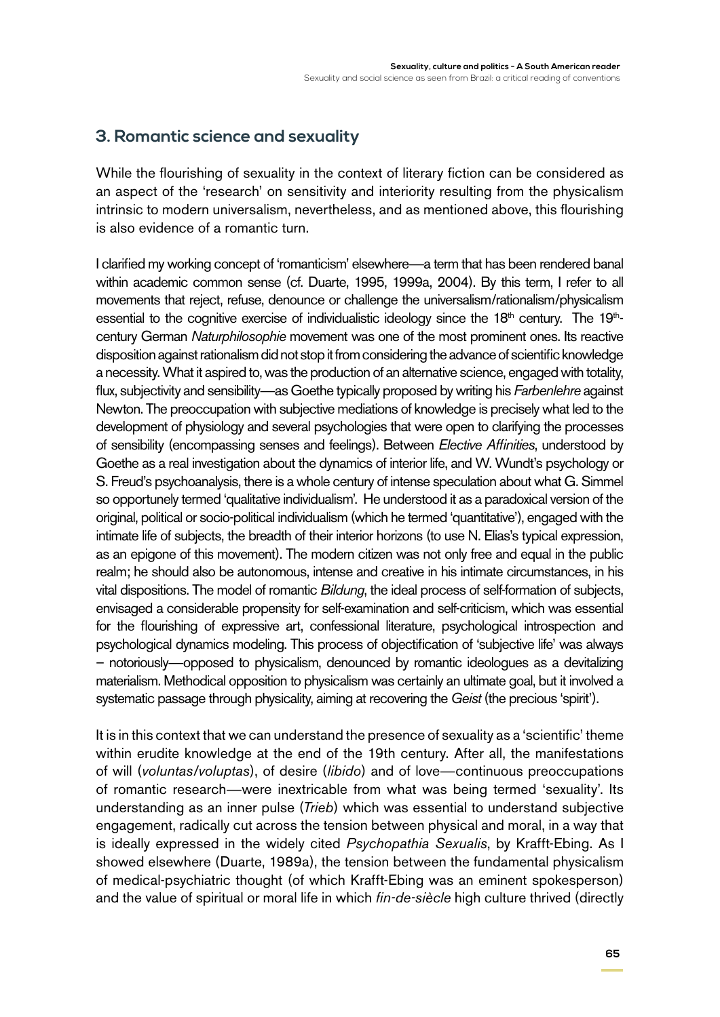## **3. Romantic science and sexuality**

While the flourishing of sexuality in the context of literary fiction can be considered as an aspect of the 'research' on sensitivity and interiority resulting from the physicalism intrinsic to modern universalism, nevertheless, and as mentioned above, this flourishing is also evidence of a romantic turn.

I clarified my working concept of 'romanticism' elsewhere—a term that has been rendered banal within academic common sense (cf. Duarte, 1995, 1999a, 2004). By this term, I refer to all movements that reject, refuse, denounce or challenge the universalism/rationalism/physicalism essential to the cognitive exercise of individualistic ideology since the  $18<sup>th</sup>$  century. The  $19<sup>th</sup>$ century German *Naturphilosophie* movement was one of the most prominent ones. Its reactive disposition against rationalism did not stop it from considering the advance of scientific knowledge a necessity. What it aspired to, was the production of an alternative science, engaged with totality, flux, subjectivity and sensibility—as Goethe typically proposed by writing his *Farbenlehre* against Newton. The preoccupation with subjective mediations of knowledge is precisely what led to the development of physiology and several psychologies that were open to clarifying the processes of sensibility (encompassing senses and feelings). Between *Elective Affinities*, understood by Goethe as a real investigation about the dynamics of interior life, and W. Wundt's psychology or S. Freud's psychoanalysis, there is a whole century of intense speculation about what G. Simmel so opportunely termed 'qualitative individualism'. He understood it as a paradoxical version of the original, political or socio-political individualism (which he termed 'quantitative'), engaged with the intimate life of subjects, the breadth of their interior horizons (to use N. Elias's typical expression, as an epigone of this movement). The modern citizen was not only free and equal in the public realm; he should also be autonomous, intense and creative in his intimate circumstances, in his vital dispositions. The model of romantic *Bildung*, the ideal process of self-formation of subjects, envisaged a considerable propensity for self-examination and self-criticism, which was essential for the flourishing of expressive art, confessional literature, psychological introspection and psychological dynamics modeling. This process of objectification of 'subjective life' was always – notoriously—opposed to physicalism, denounced by romantic ideologues as a devitalizing materialism. Methodical opposition to physicalism was certainly an ultimate goal, but it involved a systematic passage through physicality, aiming at recovering the *Geist* (the precious 'spirit').

It is in this context that we can understand the presence of sexuality as a 'scientific' theme within erudite knowledge at the end of the 19th century. After all, the manifestations of will (*voluntas/voluptas*), of desire (*libido*) and of love—continuous preoccupations of romantic research—were inextricable from what was being termed 'sexuality'. Its understanding as an inner pulse (*Trieb*) which was essential to understand subjective engagement, radically cut across the tension between physical and moral, in a way that is ideally expressed in the widely cited *Psychopathia Sexualis*, by Krafft-Ebing. As I showed elsewhere (Duarte, 1989a), the tension between the fundamental physicalism of medical-psychiatric thought (of which Krafft-Ebing was an eminent spokesperson) and the value of spiritual or moral life in which *fin-de-siècle* high culture thrived (directly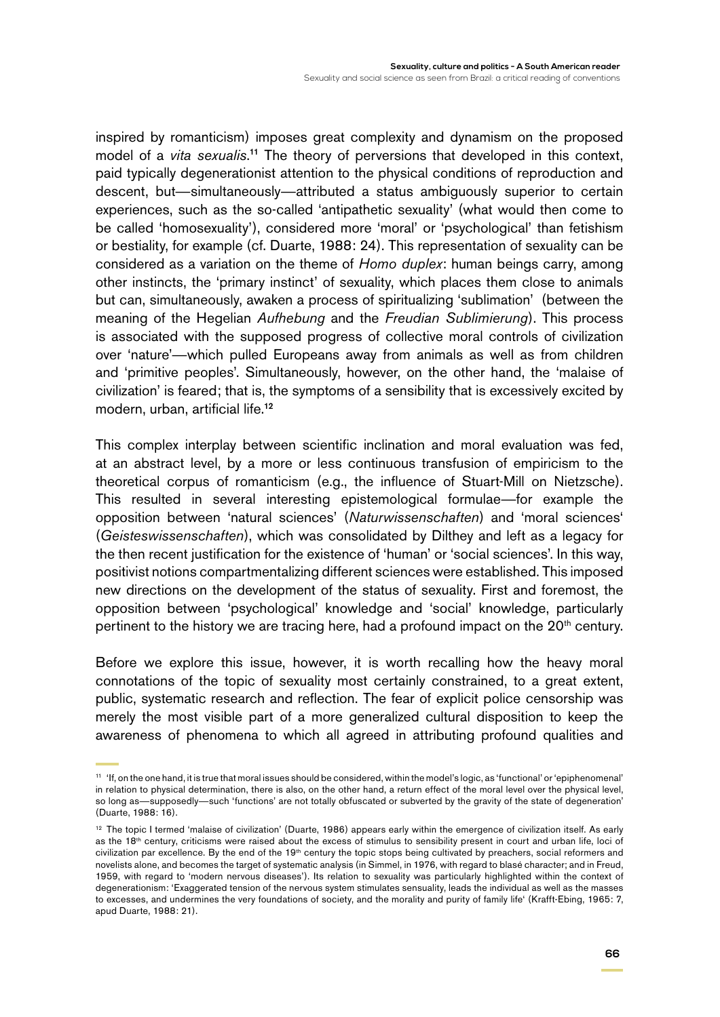inspired by romanticism) imposes great complexity and dynamism on the proposed model of a *vita sexualis*. <sup>11</sup> The theory of perversions that developed in this context, paid typically degenerationist attention to the physical conditions of reproduction and descent, but—simultaneously—attributed a status ambiguously superior to certain experiences, such as the so-called 'antipathetic sexuality' (what would then come to be called 'homosexuality'), considered more 'moral' or 'psychological' than fetishism or bestiality, for example (cf. Duarte, 1988: 24). This representation of sexuality can be considered as a variation on the theme of *Homo duplex*: human beings carry, among other instincts, the 'primary instinct' of sexuality, which places them close to animals but can, simultaneously, awaken a process of spiritualizing 'sublimation' (between the meaning of the Hegelian *Aufhebung* and the *Freudian Sublimierung*). This process is associated with the supposed progress of collective moral controls of civilization over 'nature'—which pulled Europeans away from animals as well as from children and 'primitive peoples'. Simultaneously, however, on the other hand, the 'malaise of civilization' is feared; that is, the symptoms of a sensibility that is excessively excited by modern, urban, artificial life.<sup>12</sup>

This complex interplay between scientific inclination and moral evaluation was fed, at an abstract level, by a more or less continuous transfusion of empiricism to the theoretical corpus of romanticism (e.g., the influence of Stuart-Mill on Nietzsche). This resulted in several interesting epistemological formulae—for example the opposition between 'natural sciences' (*Naturwissenschaften*) and 'moral sciences' (*Geisteswissenschaften*), which was consolidated by Dilthey and left as a legacy for the then recent justification for the existence of 'human' or 'social sciences'. In this way, positivist notions compartmentalizing different sciences were established. This imposed new directions on the development of the status of sexuality. First and foremost, the opposition between 'psychological' knowledge and 'social' knowledge, particularly pertinent to the history we are tracing here, had a profound impact on the 20<sup>th</sup> century.

Before we explore this issue, however, it is worth recalling how the heavy moral connotations of the topic of sexuality most certainly constrained, to a great extent, public, systematic research and reflection. The fear of explicit police censorship was merely the most visible part of a more generalized cultural disposition to keep the awareness of phenomena to which all agreed in attributing profound qualities and

<sup>11</sup> 'If, on the one hand, it is true that moral issues should be considered, within the model's logic, as 'functional' or 'epiphenomenal' in relation to physical determination, there is also, on the other hand, a return effect of the moral level over the physical level, so long as—supposedly—such 'functions' are not totally obfuscated or subverted by the gravity of the state of degeneration' (Duarte, 1988: 16).

<sup>&</sup>lt;sup>12</sup> The topic I termed 'malaise of civilization' (Duarte, 1986) appears early within the emergence of civilization itself. As early as the 18<sup>th</sup> century, criticisms were raised about the excess of stimulus to sensibility present in court and urban life, loci of civilization par excellence. By the end of the 19<sup>th</sup> century the topic stops being cultivated by preachers, social reformers and novelists alone, and becomes the target of systematic analysis (in Simmel, in 1976, with regard to blasé character; and in Freud, 1959, with regard to 'modern nervous diseases'). Its relation to sexuality was particularly highlighted within the context of degenerationism: 'Exaggerated tension of the nervous system stimulates sensuality, leads the individual as well as the masses to excesses, and undermines the very foundations of society, and the morality and purity of family life' (Krafft-Ebing, 1965: 7, apud Duarte, 1988: 21).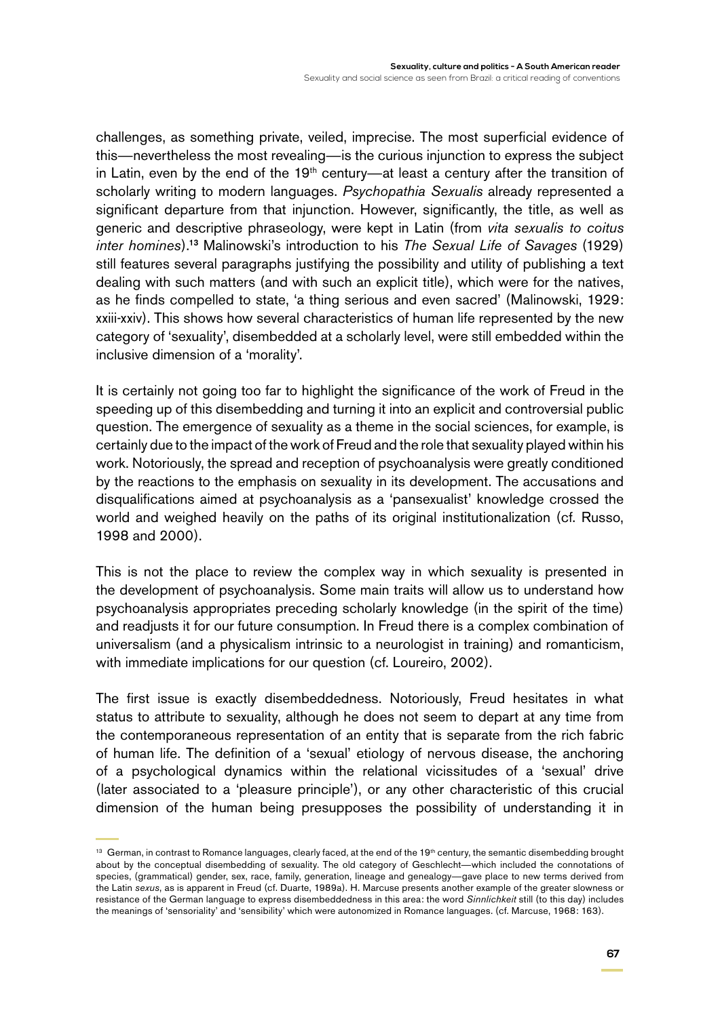challenges, as something private, veiled, imprecise. The most superficial evidence of this—nevertheless the most revealing—is the curious injunction to express the subject in Latin, even by the end of the  $19<sup>th</sup>$  century—at least a century after the transition of scholarly writing to modern languages. *Psychopathia Sexualis* already represented a significant departure from that injunction. However, significantly, the title, as well as generic and descriptive phraseology, were kept in Latin (from *vita sexualis to coitus inter homines*).<sup>13</sup> Malinowski's introduction to his *The Sexual Life of Savages* (1929) still features several paragraphs justifying the possibility and utility of publishing a text dealing with such matters (and with such an explicit title), which were for the natives, as he finds compelled to state, 'a thing serious and even sacred' (Malinowski, 1929: xxiii-xxiv). This shows how several characteristics of human life represented by the new category of 'sexuality', disembedded at a scholarly level, were still embedded within the inclusive dimension of a 'morality'.

It is certainly not going too far to highlight the significance of the work of Freud in the speeding up of this disembedding and turning it into an explicit and controversial public question. The emergence of sexuality as a theme in the social sciences, for example, is certainly due to the impact of the work of Freud and the role that sexuality played within his work. Notoriously, the spread and reception of psychoanalysis were greatly conditioned by the reactions to the emphasis on sexuality in its development. The accusations and disqualifications aimed at psychoanalysis as a 'pansexualist' knowledge crossed the world and weighed heavily on the paths of its original institutionalization (cf. Russo, 1998 and 2000).

This is not the place to review the complex way in which sexuality is presented in the development of psychoanalysis. Some main traits will allow us to understand how psychoanalysis appropriates preceding scholarly knowledge (in the spirit of the time) and readjusts it for our future consumption. In Freud there is a complex combination of universalism (and a physicalism intrinsic to a neurologist in training) and romanticism, with immediate implications for our question (cf. Loureiro, 2002).

The first issue is exactly disembeddedness. Notoriously, Freud hesitates in what status to attribute to sexuality, although he does not seem to depart at any time from the contemporaneous representation of an entity that is separate from the rich fabric of human life. The definition of a 'sexual' etiology of nervous disease, the anchoring of a psychological dynamics within the relational vicissitudes of a 'sexual' drive (later associated to a 'pleasure principle'), or any other characteristic of this crucial dimension of the human being presupposes the possibility of understanding it in

<sup>13</sup> German, in contrast to Romance languages, clearly faced, at the end of the 19<sup>th</sup> century, the semantic disembedding brought about by the conceptual disembedding of sexuality. The old category of Geschlecht—which included the connotations of species, (grammatical) gender, sex, race, family, generation, lineage and genealogy—gave place to new terms derived from the Latin *sexus*, as is apparent in Freud (cf. Duarte, 1989a). H. Marcuse presents another example of the greater slowness or resistance of the German language to express disembeddedness in this area: the word *Sinnlichkeit* still (to this day) includes the meanings of 'sensoriality' and 'sensibility' which were autonomized in Romance languages. (cf. Marcuse, 1968: 163).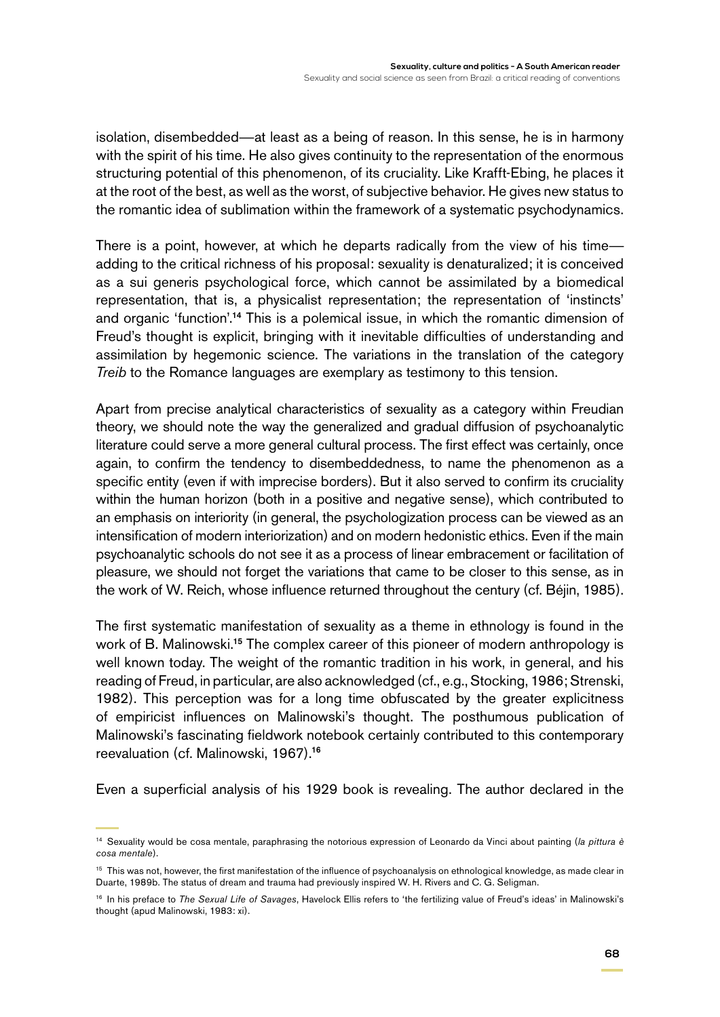isolation, disembedded—at least as a being of reason. In this sense, he is in harmony with the spirit of his time. He also gives continuity to the representation of the enormous structuring potential of this phenomenon, of its cruciality. Like Krafft-Ebing, he places it at the root of the best, as well as the worst, of subjective behavior. He gives new status to the romantic idea of sublimation within the framework of a systematic psychodynamics.

There is a point, however, at which he departs radically from the view of his time adding to the critical richness of his proposal: sexuality is denaturalized; it is conceived as a sui generis psychological force, which cannot be assimilated by a biomedical representation, that is, a physicalist representation; the representation of 'instincts' and organic 'function'.<sup>14</sup> This is a polemical issue, in which the romantic dimension of Freud's thought is explicit, bringing with it inevitable difficulties of understanding and assimilation by hegemonic science. The variations in the translation of the category *Treib* to the Romance languages are exemplary as testimony to this tension.

Apart from precise analytical characteristics of sexuality as a category within Freudian theory, we should note the way the generalized and gradual diffusion of psychoanalytic literature could serve a more general cultural process. The first effect was certainly, once again, to confirm the tendency to disembeddedness, to name the phenomenon as a specific entity (even if with imprecise borders). But it also served to confirm its cruciality within the human horizon (both in a positive and negative sense), which contributed to an emphasis on interiority (in general, the psychologization process can be viewed as an intensification of modern interiorization) and on modern hedonistic ethics. Even if the main psychoanalytic schools do not see it as a process of linear embracement or facilitation of pleasure, we should not forget the variations that came to be closer to this sense, as in the work of W. Reich, whose influence returned throughout the century (cf. Béjin, 1985).

The first systematic manifestation of sexuality as a theme in ethnology is found in the work of B. Malinowski.<sup>15</sup> The complex career of this pioneer of modern anthropology is well known today. The weight of the romantic tradition in his work, in general, and his reading of Freud, in particular, are also acknowledged (cf., e.g., Stocking, 1986; Strenski, 1982). This perception was for a long time obfuscated by the greater explicitness of empiricist influences on Malinowski's thought. The posthumous publication of Malinowski's fascinating fieldwork notebook certainly contributed to this contemporary reevaluation (cf. Malinowski, 1967).<sup>16</sup>

Even a superficial analysis of his 1929 book is revealing. The author declared in the

<sup>14</sup> Sexuality would be cosa mentale, paraphrasing the notorious expression of Leonardo da Vinci about painting (*la pittura è cosa mentale*).

<sup>&</sup>lt;sup>15</sup> This was not, however, the first manifestation of the influence of psychoanalysis on ethnological knowledge, as made clear in Duarte, 1989b. The status of dream and trauma had previously inspired W. H. Rivers and C. G. Seligman.

<sup>16</sup> In his preface to *The Sexual Life of Savages*, Havelock Ellis refers to 'the fertilizing value of Freud's ideas' in Malinowski's thought (apud Malinowski, 1983: xi).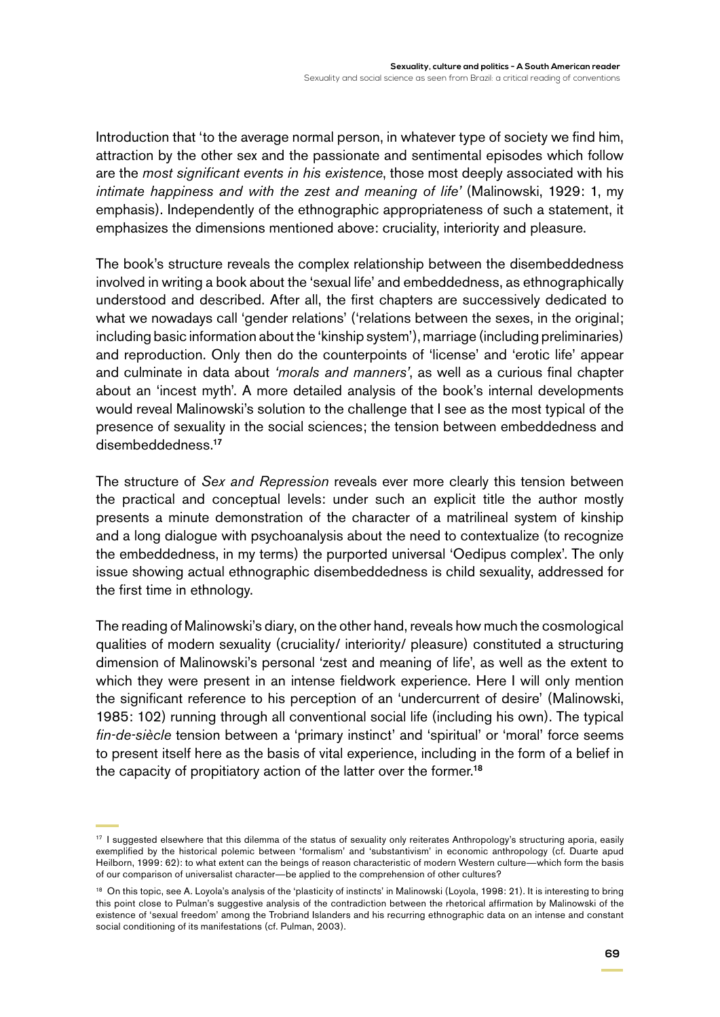Introduction that 'to the average normal person, in whatever type of society we find him, attraction by the other sex and the passionate and sentimental episodes which follow are the *most significant events in his existence*, those most deeply associated with his *intimate happiness and with the zest and meaning of life'* (Malinowski, 1929: 1, my emphasis). Independently of the ethnographic appropriateness of such a statement, it emphasizes the dimensions mentioned above: cruciality, interiority and pleasure.

The book's structure reveals the complex relationship between the disembeddedness involved in writing a book about the 'sexual life' and embeddedness, as ethnographically understood and described. After all, the first chapters are successively dedicated to what we nowadays call 'gender relations' ('relations between the sexes, in the original; including basic information about the 'kinship system'), marriage (including preliminaries) and reproduction. Only then do the counterpoints of 'license' and 'erotic life' appear and culminate in data about *'morals and manners'*, as well as a curious final chapter about an 'incest myth'. A more detailed analysis of the book's internal developments would reveal Malinowski's solution to the challenge that I see as the most typical of the presence of sexuality in the social sciences; the tension between embeddedness and disembeddedness.<sup>17</sup>

The structure of *Sex and Repression* reveals ever more clearly this tension between the practical and conceptual levels: under such an explicit title the author mostly presents a minute demonstration of the character of a matrilineal system of kinship and a long dialogue with psychoanalysis about the need to contextualize (to recognize the embeddedness, in my terms) the purported universal 'Oedipus complex'. The only issue showing actual ethnographic disembeddedness is child sexuality, addressed for the first time in ethnology.

The reading of Malinowski's diary, on the other hand, reveals how much the cosmological qualities of modern sexuality (cruciality/ interiority/ pleasure) constituted a structuring dimension of Malinowski's personal 'zest and meaning of life', as well as the extent to which they were present in an intense fieldwork experience. Here I will only mention the significant reference to his perception of an 'undercurrent of desire' (Malinowski, 1985: 102) running through all conventional social life (including his own). The typical *fin-de-siècle* tension between a 'primary instinct' and 'spiritual' or 'moral' force seems to present itself here as the basis of vital experience, including in the form of a belief in the capacity of propitiatory action of the latter over the former.<sup>18</sup>

<sup>&</sup>lt;sup>17</sup> I suggested elsewhere that this dilemma of the status of sexuality only reiterates Anthropology's structuring aporia, easily exemplified by the historical polemic between 'formalism' and 'substantivism' in economic anthropology (cf. Duarte apud Heilborn, 1999: 62): to what extent can the beings of reason characteristic of modern Western culture—which form the basis of our comparison of universalist character—be applied to the comprehension of other cultures?

<sup>&</sup>lt;sup>18</sup> On this topic, see A. Loyola's analysis of the 'plasticity of instincts' in Malinowski (Loyola, 1998: 21). It is interesting to bring this point close to Pulman's suggestive analysis of the contradiction between the rhetorical affirmation by Malinowski of the existence of 'sexual freedom' among the Trobriand Islanders and his recurring ethnographic data on an intense and constant social conditioning of its manifestations (cf. Pulman, 2003).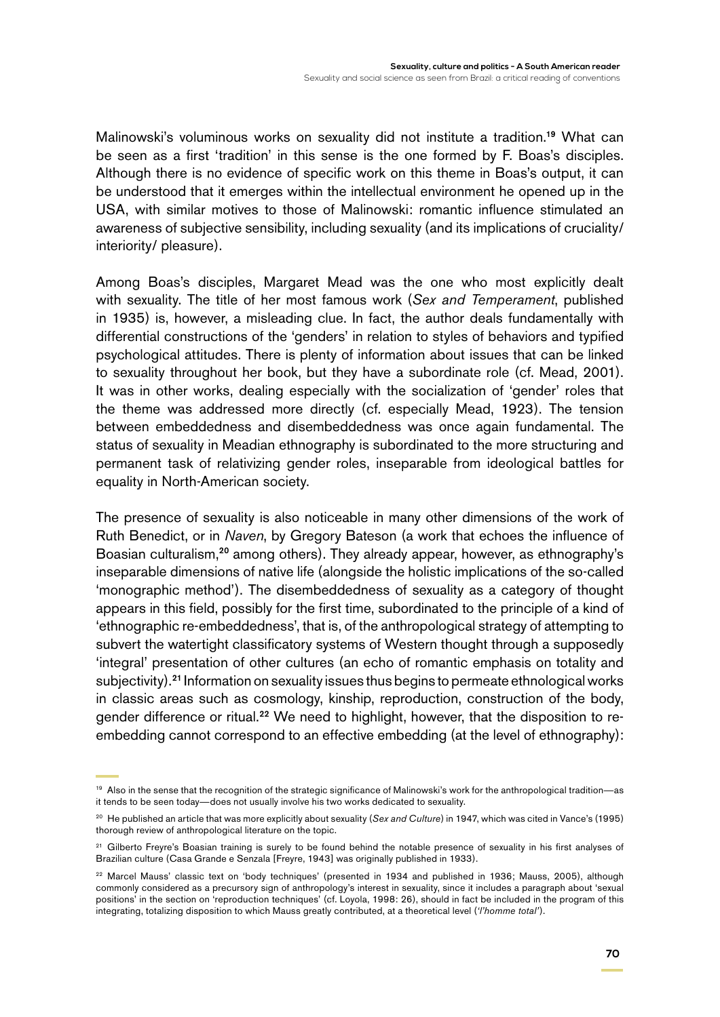Malinowski's voluminous works on sexuality did not institute a tradition.<sup>19</sup> What can be seen as a first 'tradition' in this sense is the one formed by F. Boas's disciples. Although there is no evidence of specific work on this theme in Boas's output, it can be understood that it emerges within the intellectual environment he opened up in the USA, with similar motives to those of Malinowski: romantic influence stimulated an awareness of subjective sensibility, including sexuality (and its implications of cruciality/ interiority/ pleasure).

Among Boas's disciples, Margaret Mead was the one who most explicitly dealt with sexuality. The title of her most famous work (*Sex and Temperament*, published in 1935) is, however, a misleading clue. In fact, the author deals fundamentally with differential constructions of the 'genders' in relation to styles of behaviors and typified psychological attitudes. There is plenty of information about issues that can be linked to sexuality throughout her book, but they have a subordinate role (cf. Mead, 2001). It was in other works, dealing especially with the socialization of 'gender' roles that the theme was addressed more directly (cf. especially Mead, 1923). The tension between embeddedness and disembeddedness was once again fundamental. The status of sexuality in Meadian ethnography is subordinated to the more structuring and permanent task of relativizing gender roles, inseparable from ideological battles for equality in North-American society.

The presence of sexuality is also noticeable in many other dimensions of the work of Ruth Benedict, or in *Naven*, by Gregory Bateson (a work that echoes the influence of Boasian culturalism,<sup>20</sup> among others). They already appear, however, as ethnography's inseparable dimensions of native life (alongside the holistic implications of the so-called 'monographic method'). The disembeddedness of sexuality as a category of thought appears in this field, possibly for the first time, subordinated to the principle of a kind of 'ethnographic re-embeddedness', that is, of the anthropological strategy of attempting to subvert the watertight classificatory systems of Western thought through a supposedly 'integral' presentation of other cultures (an echo of romantic emphasis on totality and subjectivity).<sup>21</sup> Information on sexuality issues thus begins to permeate ethnological works in classic areas such as cosmology, kinship, reproduction, construction of the body, gender difference or ritual.<sup>22</sup> We need to highlight, however, that the disposition to reembedding cannot correspond to an effective embedding (at the level of ethnography):

<sup>19</sup> Also in the sense that the recognition of the strategic significance of Malinowski's work for the anthropological tradition—as it tends to be seen today—does not usually involve his two works dedicated to sexuality.

<sup>20</sup> He published an article that was more explicitly about sexuality (*Sex and Culture*) in 1947, which was cited in Vance's (1995) thorough review of anthropological literature on the topic.

<sup>&</sup>lt;sup>21</sup> Gilberto Freyre's Boasian training is surely to be found behind the notable presence of sexuality in his first analyses of Brazilian culture (Casa Grande e Senzala [Freyre, 1943] was originally published in 1933).

<sup>22</sup> Marcel Mauss' classic text on 'body techniques' (presented in 1934 and published in 1936; Mauss, 2005), although commonly considered as a precursory sign of anthropology's interest in sexuality, since it includes a paragraph about 'sexual positions' in the section on 'reproduction techniques' (cf. Loyola, 1998: 26), should in fact be included in the program of this integrating, totalizing disposition to which Mauss greatly contributed, at a theoretical level (*'l'homme total'*).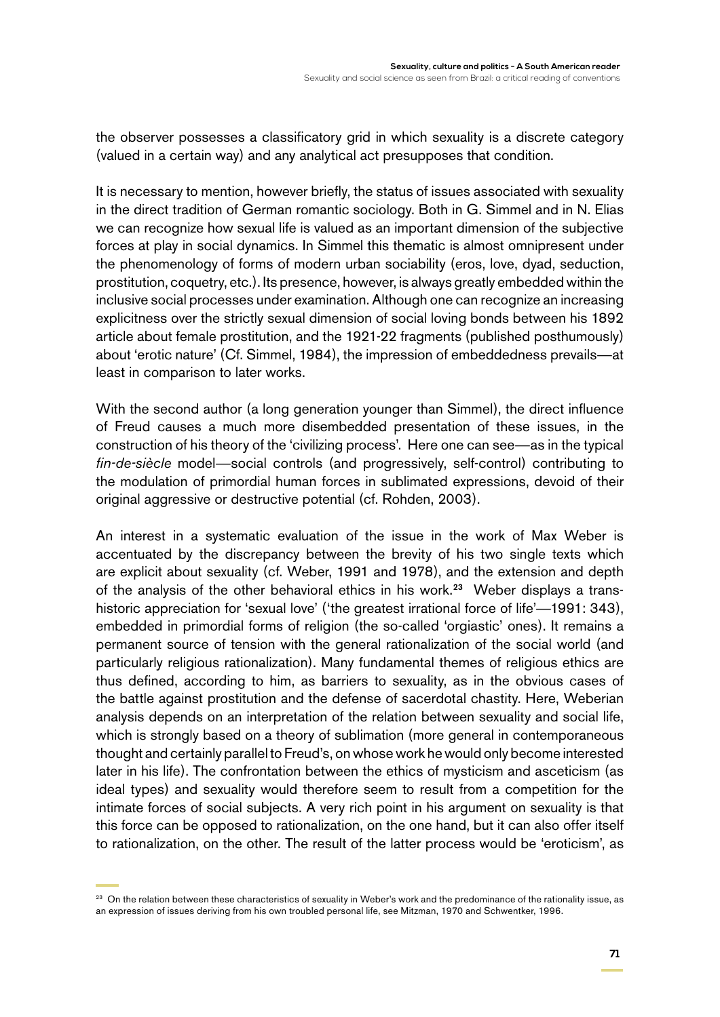the observer possesses a classificatory grid in which sexuality is a discrete category (valued in a certain way) and any analytical act presupposes that condition.

It is necessary to mention, however briefly, the status of issues associated with sexuality in the direct tradition of German romantic sociology. Both in G. Simmel and in N. Elias we can recognize how sexual life is valued as an important dimension of the subjective forces at play in social dynamics. In Simmel this thematic is almost omnipresent under the phenomenology of forms of modern urban sociability (eros, love, dyad, seduction, prostitution, coquetry, etc.). Its presence, however, is always greatly embedded within the inclusive social processes under examination. Although one can recognize an increasing explicitness over the strictly sexual dimension of social loving bonds between his 1892 article about female prostitution, and the 1921-22 fragments (published posthumously) about 'erotic nature' (Cf. Simmel, 1984), the impression of embeddedness prevails—at least in comparison to later works.

With the second author (a long generation younger than Simmel), the direct influence of Freud causes a much more disembedded presentation of these issues, in the construction of his theory of the 'civilizing process'. Here one can see—as in the typical *fin-de-siècle* model—social controls (and progressively, self-control) contributing to the modulation of primordial human forces in sublimated expressions, devoid of their original aggressive or destructive potential (cf. Rohden, 2003).

An interest in a systematic evaluation of the issue in the work of Max Weber is accentuated by the discrepancy between the brevity of his two single texts which are explicit about sexuality (cf. Weber, 1991 and 1978), and the extension and depth of the analysis of the other behavioral ethics in his work.<sup>23</sup> Weber displays a transhistoric appreciation for 'sexual love' ('the greatest irrational force of life'—1991: 343), embedded in primordial forms of religion (the so-called 'orgiastic' ones). It remains a permanent source of tension with the general rationalization of the social world (and particularly religious rationalization). Many fundamental themes of religious ethics are thus defined, according to him, as barriers to sexuality, as in the obvious cases of the battle against prostitution and the defense of sacerdotal chastity. Here, Weberian analysis depends on an interpretation of the relation between sexuality and social life, which is strongly based on a theory of sublimation (more general in contemporaneous thought and certainly parallel to Freud's, on whose work he would only become interested later in his life). The confrontation between the ethics of mysticism and asceticism (as ideal types) and sexuality would therefore seem to result from a competition for the intimate forces of social subjects. A very rich point in his argument on sexuality is that this force can be opposed to rationalization, on the one hand, but it can also offer itself to rationalization, on the other. The result of the latter process would be 'eroticism', as

<sup>&</sup>lt;sup>23</sup> On the relation between these characteristics of sexuality in Weber's work and the predominance of the rationality issue, as an expression of issues deriving from his own troubled personal life, see Mitzman, 1970 and Schwentker, 1996.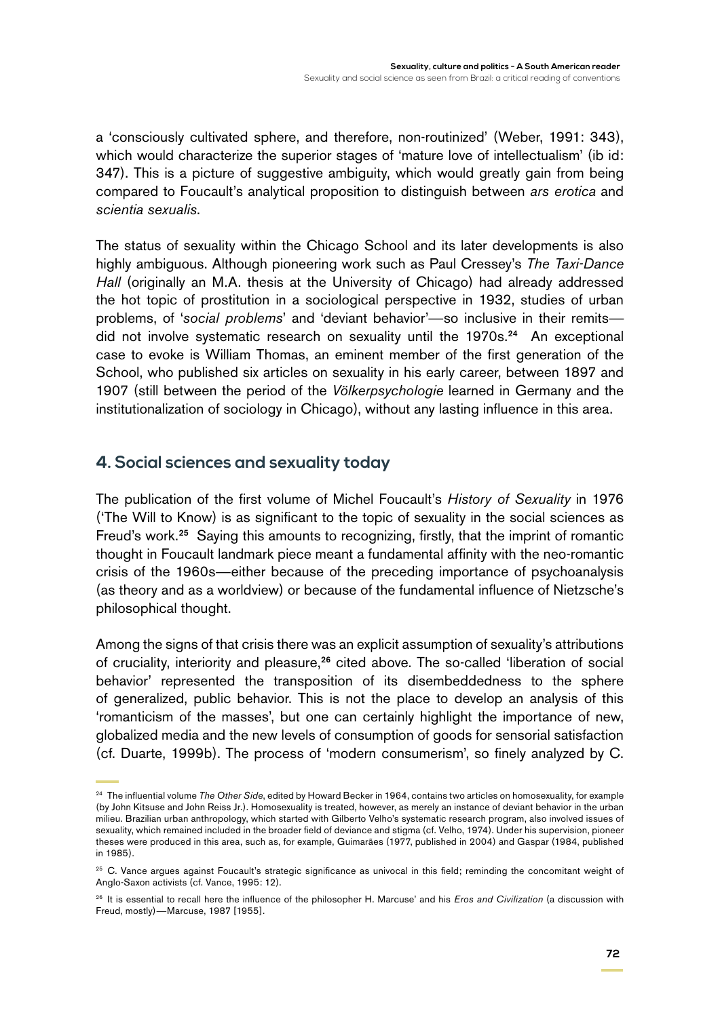a 'consciously cultivated sphere, and therefore, non-routinized' (Weber, 1991: 343), which would characterize the superior stages of 'mature love of intellectualism' (ib id: 347). This is a picture of suggestive ambiguity, which would greatly gain from being compared to Foucault's analytical proposition to distinguish between *ars erotica* and *scientia sexualis*.

The status of sexuality within the Chicago School and its later developments is also highly ambiguous. Although pioneering work such as Paul Cressey's *The Taxi-Dance Hall* (originally an M.A. thesis at the University of Chicago) had already addressed the hot topic of prostitution in a sociological perspective in 1932, studies of urban problems, of '*social problems*' and 'deviant behavior'—so inclusive in their remits did not involve systematic research on sexuality until the 1970s.<sup>24</sup> An exceptional case to evoke is William Thomas, an eminent member of the first generation of the School, who published six articles on sexuality in his early career, between 1897 and 1907 (still between the period of the *Völkerpsychologie* learned in Germany and the institutionalization of sociology in Chicago), without any lasting influence in this area.

### **4. Social sciences and sexuality today**

The publication of the first volume of Michel Foucault's *History of Sexuality* in 1976 ('The Will to Know) is as significant to the topic of sexuality in the social sciences as Freud's work.<sup>25</sup> Saying this amounts to recognizing, firstly, that the imprint of romantic thought in Foucault landmark piece meant a fundamental affinity with the neo-romantic crisis of the 1960s—either because of the preceding importance of psychoanalysis (as theory and as a worldview) or because of the fundamental influence of Nietzsche's philosophical thought.

Among the signs of that crisis there was an explicit assumption of sexuality's attributions of cruciality, interiority and pleasure,<sup>26</sup> cited above. The so-called 'liberation of social behavior' represented the transposition of its disembeddedness to the sphere of generalized, public behavior. This is not the place to develop an analysis of this 'romanticism of the masses', but one can certainly highlight the importance of new, globalized media and the new levels of consumption of goods for sensorial satisfaction (cf. Duarte, 1999b). The process of 'modern consumerism', so finely analyzed by C.

<sup>24</sup> The influential volume *The Other Side*, edited by Howard Becker in 1964, contains two articles on homosexuality, for example (by John Kitsuse and John Reiss Jr.). Homosexuality is treated, however, as merely an instance of deviant behavior in the urban milieu. Brazilian urban anthropology, which started with Gilberto Velho's systematic research program, also involved issues of sexuality, which remained included in the broader field of deviance and stigma (cf. Velho, 1974). Under his supervision, pioneer theses were produced in this area, such as, for example, Guimarães (1977, published in 2004) and Gaspar (1984, published in 1985).

<sup>&</sup>lt;sup>25</sup> C. Vance argues against Foucault's strategic significance as univocal in this field; reminding the concomitant weight of Anglo-Saxon activists (cf. Vance, 1995: 12).

<sup>26</sup> It is essential to recall here the influence of the philosopher H. Marcuse' and his *Eros and Civilization* (a discussion with Freud, mostly)—Marcuse, 1987 [1955].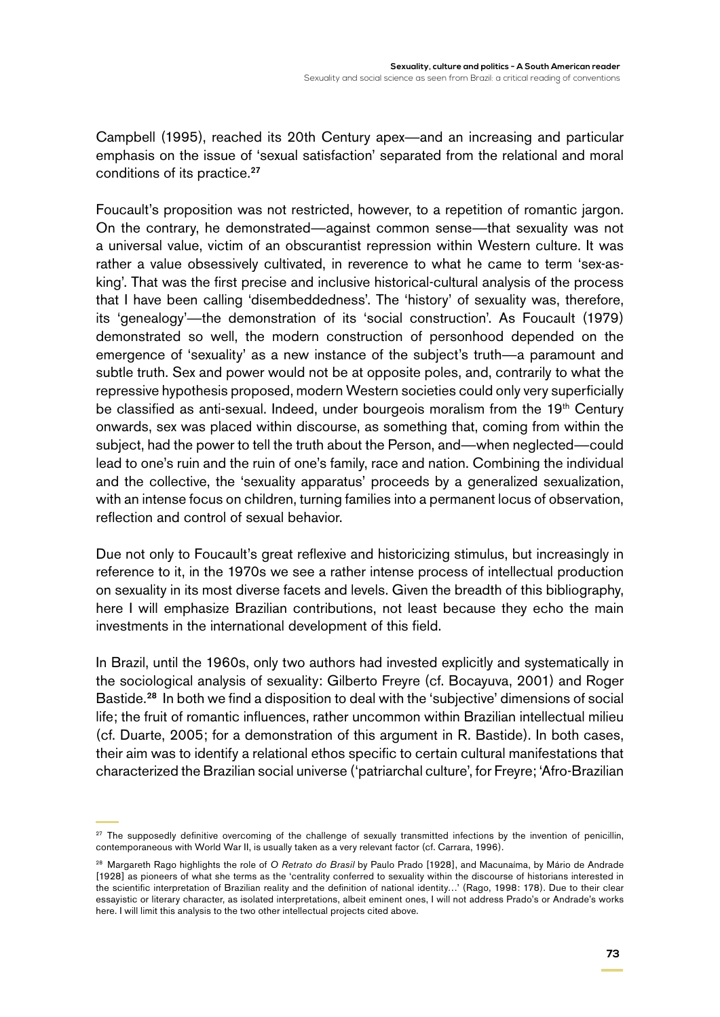Campbell (1995), reached its 20th Century apex—and an increasing and particular emphasis on the issue of 'sexual satisfaction' separated from the relational and moral conditions of its practice.<sup>27</sup>

Foucault's proposition was not restricted, however, to a repetition of romantic jargon. On the contrary, he demonstrated—against common sense—that sexuality was not a universal value, victim of an obscurantist repression within Western culture. It was rather a value obsessively cultivated, in reverence to what he came to term 'sex-asking'. That was the first precise and inclusive historical-cultural analysis of the process that I have been calling 'disembeddedness'. The 'history' of sexuality was, therefore, its 'genealogy'—the demonstration of its 'social construction'. As Foucault (1979) demonstrated so well, the modern construction of personhood depended on the emergence of 'sexuality' as a new instance of the subject's truth—a paramount and subtle truth. Sex and power would not be at opposite poles, and, contrarily to what the repressive hypothesis proposed, modern Western societies could only very superficially be classified as anti-sexual. Indeed, under bourgeois moralism from the 19<sup>th</sup> Century onwards, sex was placed within discourse, as something that, coming from within the subject, had the power to tell the truth about the Person, and—when neglected—could lead to one's ruin and the ruin of one's family, race and nation. Combining the individual and the collective, the 'sexuality apparatus' proceeds by a generalized sexualization, with an intense focus on children, turning families into a permanent locus of observation, reflection and control of sexual behavior.

Due not only to Foucault's great reflexive and historicizing stimulus, but increasingly in reference to it, in the 1970s we see a rather intense process of intellectual production on sexuality in its most diverse facets and levels. Given the breadth of this bibliography, here I will emphasize Brazilian contributions, not least because they echo the main investments in the international development of this field.

In Brazil, until the 1960s, only two authors had invested explicitly and systematically in the sociological analysis of sexuality: Gilberto Freyre (cf. Bocayuva, 2001) and Roger Bastide.<sup>28</sup> In both we find a disposition to deal with the 'subjective' dimensions of social life; the fruit of romantic influences, rather uncommon within Brazilian intellectual milieu (cf. Duarte, 2005; for a demonstration of this argument in R. Bastide). In both cases, their aim was to identify a relational ethos specific to certain cultural manifestations that characterized the Brazilian social universe ('patriarchal culture', for Freyre; 'Afro-Brazilian

<sup>&</sup>lt;sup>27</sup> The supposedly definitive overcoming of the challenge of sexually transmitted infections by the invention of penicillin, contemporaneous with World War II, is usually taken as a very relevant factor (cf. Carrara, 1996).

<sup>28</sup> Margareth Rago highlights the role of *O Retrato do Brasil* by Paulo Prado [1928], and Macunaíma, by Mário de Andrade [1928] as pioneers of what she terms as the 'centrality conferred to sexuality within the discourse of historians interested in the scientific interpretation of Brazilian reality and the definition of national identity…' (Rago, 1998: 178). Due to their clear essayistic or literary character, as isolated interpretations, albeit eminent ones, I will not address Prado's or Andrade's works here. I will limit this analysis to the two other intellectual projects cited above.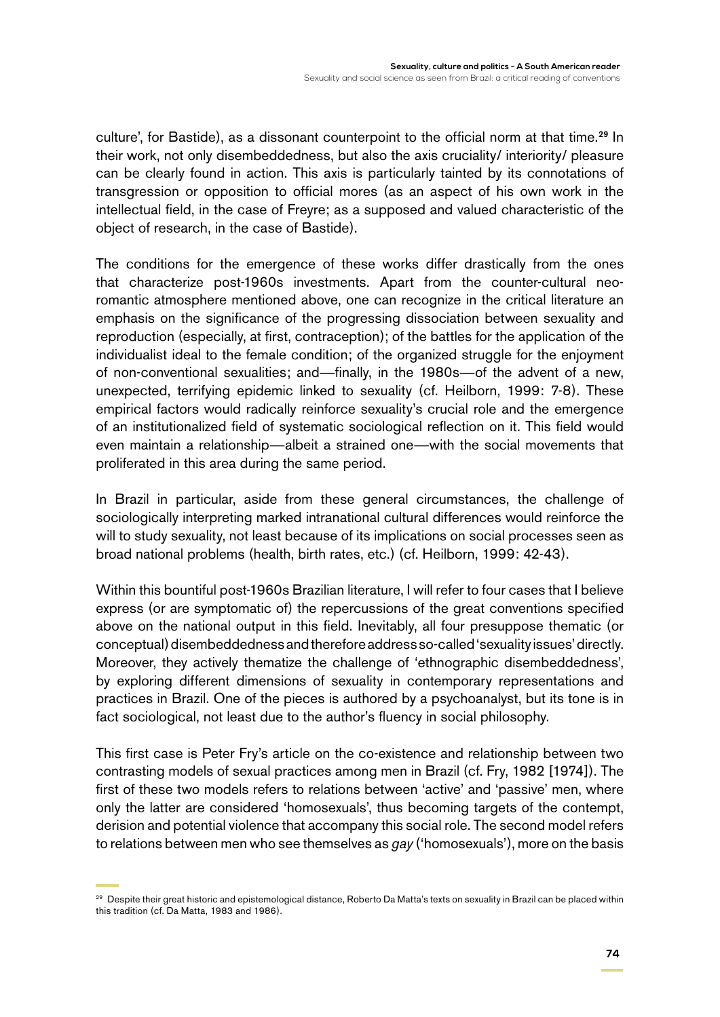culture', for Bastide), as a dissonant counterpoint to the official norm at that time.<sup>29</sup> In their work, not only disembeddedness, but also the axis cruciality/ interiority/ pleasure can be clearly found in action. This axis is particularly tainted by its connotations of transgression or opposition to official mores (as an aspect of his own work in the intellectual field, in the case of Freyre; as a supposed and valued characteristic of the object of research, in the case of Bastide).

The conditions for the emergence of these works differ drastically from the ones that characterize post-1960s investments. Apart from the counter-cultural neoromantic atmosphere mentioned above, one can recognize in the critical literature an emphasis on the significance of the progressing dissociation between sexuality and reproduction (especially, at first, contraception); of the battles for the application of the individualist ideal to the female condition; of the organized struggle for the enjoyment of non-conventional sexualities; and—finally, in the 1980s—of the advent of a new, unexpected, terrifying epidemic linked to sexuality (cf. Heilborn, 1999: 7-8). These empirical factors would radically reinforce sexuality's crucial role and the emergence of an institutionalized field of systematic sociological reflection on it. This field would even maintain a relationship—albeit a strained one—with the social movements that proliferated in this area during the same period.

In Brazil in particular, aside from these general circumstances, the challenge of sociologically interpreting marked intranational cultural differences would reinforce the will to study sexuality, not least because of its implications on social processes seen as broad national problems (health, birth rates, etc.) (cf. Heilborn, 1999: 42-43).

Within this bountiful post-1960s Brazilian literature, I will refer to four cases that I believe express (or are symptomatic of) the repercussions of the great conventions specified above on the national output in this field. Inevitably, all four presuppose thematic (or conceptual) disembeddedness and therefore address so-called 'sexuality issues' directly. Moreover, they actively thematize the challenge of 'ethnographic disembeddedness', by exploring different dimensions of sexuality in contemporary representations and practices in Brazil. One of the pieces is authored by a psychoanalyst, but its tone is in fact sociological, not least due to the author's fluency in social philosophy.

This first case is Peter Fry's article on the co-existence and relationship between two contrasting models of sexual practices among men in Brazil (cf. Fry, 1982 [1974]). The first of these two models refers to relations between 'active' and 'passive' men, where only the latter are considered 'homosexuals', thus becoming targets of the contempt, derision and potential violence that accompany this social role. The second model refers to relations between men who see themselves as *gay* ('homosexuals'), more on the basis

<sup>&</sup>lt;sup>29</sup> Despite their great historic and epistemological distance, Roberto Da Matta's texts on sexuality in Brazil can be placed within this tradition (cf. Da Matta, 1983 and 1986).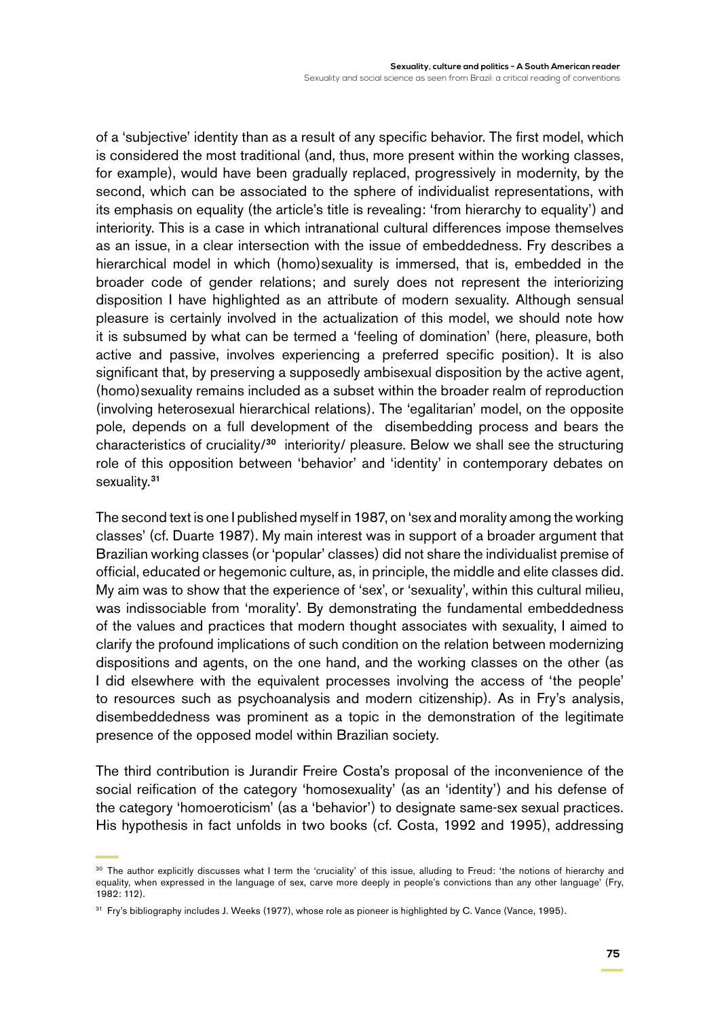of a 'subjective' identity than as a result of any specific behavior. The first model, which is considered the most traditional (and, thus, more present within the working classes, for example), would have been gradually replaced, progressively in modernity, by the second, which can be associated to the sphere of individualist representations, with its emphasis on equality (the article's title is revealing: 'from hierarchy to equality') and interiority. This is a case in which intranational cultural differences impose themselves as an issue, in a clear intersection with the issue of embeddedness. Fry describes a hierarchical model in which (homo)sexuality is immersed, that is, embedded in the broader code of gender relations; and surely does not represent the interiorizing disposition I have highlighted as an attribute of modern sexuality. Although sensual pleasure is certainly involved in the actualization of this model, we should note how it is subsumed by what can be termed a 'feeling of domination' (here, pleasure, both active and passive, involves experiencing a preferred specific position). It is also significant that, by preserving a supposedly ambisexual disposition by the active agent, (homo)sexuality remains included as a subset within the broader realm of reproduction (involving heterosexual hierarchical relations). The 'egalitarian' model, on the opposite pole, depends on a full development of the disembedding process and bears the characteristics of cruciality/<sup>30</sup> interiority/ pleasure. Below we shall see the structuring role of this opposition between 'behavior' and 'identity' in contemporary debates on sexuality.<sup>31</sup>

The second text is one I published myself in 1987, on 'sex and morality among the working classes' (cf. Duarte 1987). My main interest was in support of a broader argument that Brazilian working classes (or 'popular' classes) did not share the individualist premise of official, educated or hegemonic culture, as, in principle, the middle and elite classes did. My aim was to show that the experience of 'sex', or 'sexuality', within this cultural milieu, was indissociable from 'morality'. By demonstrating the fundamental embeddedness of the values and practices that modern thought associates with sexuality, I aimed to clarify the profound implications of such condition on the relation between modernizing dispositions and agents, on the one hand, and the working classes on the other (as I did elsewhere with the equivalent processes involving the access of 'the people' to resources such as psychoanalysis and modern citizenship). As in Fry's analysis, disembeddedness was prominent as a topic in the demonstration of the legitimate presence of the opposed model within Brazilian society.

The third contribution is Jurandir Freire Costa's proposal of the inconvenience of the social reification of the category 'homosexuality' (as an 'identity') and his defense of the category 'homoeroticism' (as a 'behavior') to designate same-sex sexual practices. His hypothesis in fact unfolds in two books (cf. Costa, 1992 and 1995), addressing

<sup>30</sup> The author explicitly discusses what I term the 'cruciality' of this issue, alluding to Freud: 'the notions of hierarchy and equality, when expressed in the language of sex, carve more deeply in people's convictions than any other language' (Fry, 1982: 112).

<sup>&</sup>lt;sup>31</sup> Fry's bibliography includes J. Weeks (1977), whose role as pioneer is highlighted by C. Vance (Vance, 1995).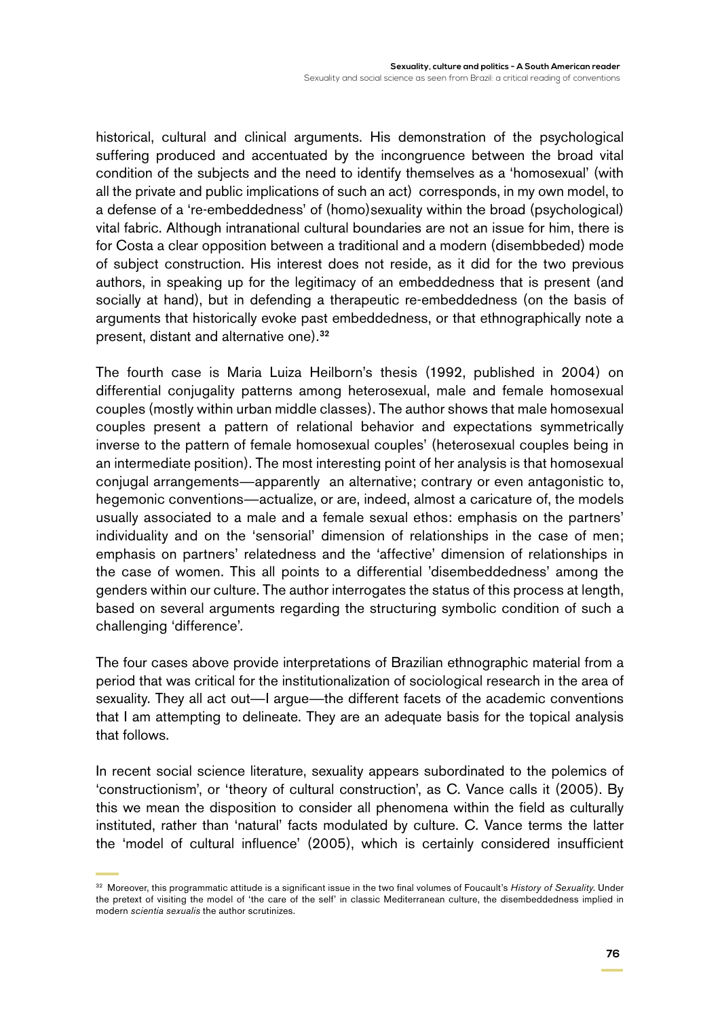historical, cultural and clinical arguments. His demonstration of the psychological suffering produced and accentuated by the incongruence between the broad vital condition of the subjects and the need to identify themselves as a 'homosexual' (with all the private and public implications of such an act) corresponds, in my own model, to a defense of a 're-embeddedness' of (homo)sexuality within the broad (psychological) vital fabric. Although intranational cultural boundaries are not an issue for him, there is for Costa a clear opposition between a traditional and a modern (disembbeded) mode of subject construction. His interest does not reside, as it did for the two previous authors, in speaking up for the legitimacy of an embeddedness that is present (and socially at hand), but in defending a therapeutic re-embeddedness (on the basis of arguments that historically evoke past embeddedness, or that ethnographically note a present, distant and alternative one).<sup>32</sup>

The fourth case is Maria Luiza Heilborn's thesis (1992, published in 2004) on differential conjugality patterns among heterosexual, male and female homosexual couples (mostly within urban middle classes). The author shows that male homosexual couples present a pattern of relational behavior and expectations symmetrically inverse to the pattern of female homosexual couples' (heterosexual couples being in an intermediate position). The most interesting point of her analysis is that homosexual conjugal arrangements—apparently an alternative; contrary or even antagonistic to, hegemonic conventions—actualize, or are, indeed, almost a caricature of, the models usually associated to a male and a female sexual ethos: emphasis on the partners' individuality and on the 'sensorial' dimension of relationships in the case of men; emphasis on partners' relatedness and the 'affective' dimension of relationships in the case of women. This all points to a differential 'disembeddedness' among the genders within our culture. The author interrogates the status of this process at length, based on several arguments regarding the structuring symbolic condition of such a challenging 'difference'.

The four cases above provide interpretations of Brazilian ethnographic material from a period that was critical for the institutionalization of sociological research in the area of sexuality. They all act out—I argue—the different facets of the academic conventions that I am attempting to delineate. They are an adequate basis for the topical analysis that follows.

In recent social science literature, sexuality appears subordinated to the polemics of 'constructionism', or 'theory of cultural construction', as C. Vance calls it (2005). By this we mean the disposition to consider all phenomena within the field as culturally instituted, rather than 'natural' facts modulated by culture. C. Vance terms the latter the 'model of cultural influence' (2005), which is certainly considered insufficient

<sup>32</sup> Moreover, this programmatic attitude is a significant issue in the two final volumes of Foucault's *History of Sexuality*. Under the pretext of visiting the model of 'the care of the self' in classic Mediterranean culture, the disembeddedness implied in modern *scientia sexualis* the author scrutinizes.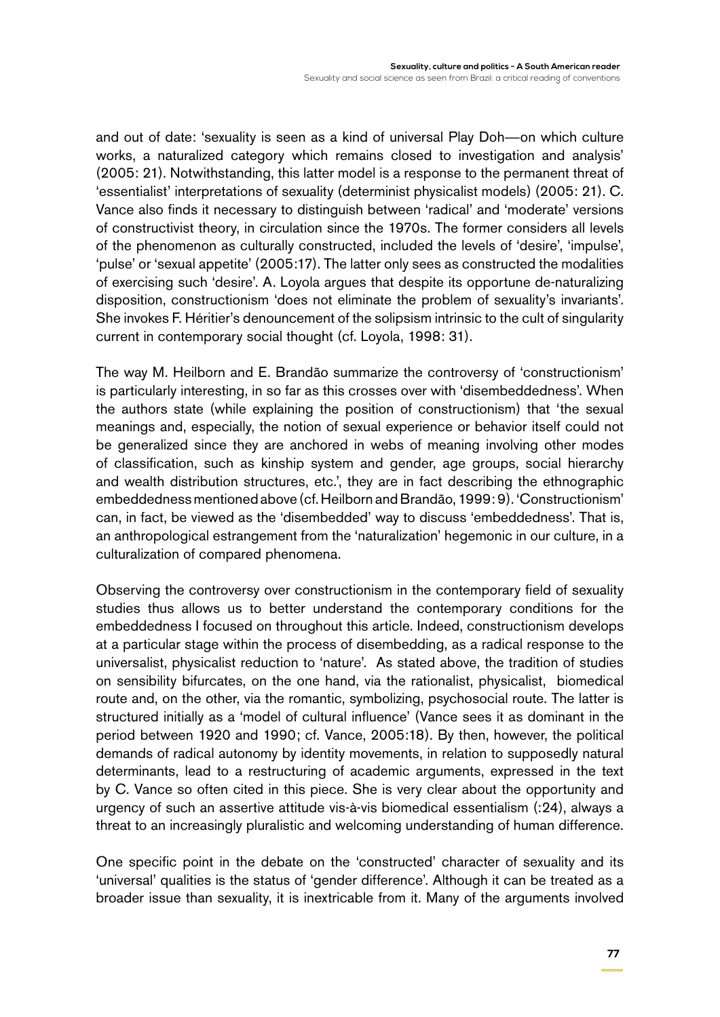and out of date: 'sexuality is seen as a kind of universal Play Doh—on which culture works, a naturalized category which remains closed to investigation and analysis' (2005: 21). Notwithstanding, this latter model is a response to the permanent threat of 'essentialist' interpretations of sexuality (determinist physicalist models) (2005: 21). C. Vance also finds it necessary to distinguish between 'radical' and 'moderate' versions of constructivist theory, in circulation since the 1970s. The former considers all levels of the phenomenon as culturally constructed, included the levels of 'desire', 'impulse', 'pulse' or 'sexual appetite' (2005:17). The latter only sees as constructed the modalities of exercising such 'desire'. A. Loyola argues that despite its opportune de-naturalizing disposition, constructionism 'does not eliminate the problem of sexuality's invariants'. She invokes F. Héritier's denouncement of the solipsism intrinsic to the cult of singularity current in contemporary social thought (cf. Loyola, 1998: 31).

The way M. Heilborn and E. Brandão summarize the controversy of 'constructionism' is particularly interesting, in so far as this crosses over with 'disembeddedness'. When the authors state (while explaining the position of constructionism) that 'the sexual meanings and, especially, the notion of sexual experience or behavior itself could not be generalized since they are anchored in webs of meaning involving other modes of classification, such as kinship system and gender, age groups, social hierarchy and wealth distribution structures, etc.', they are in fact describing the ethnographic embeddedness mentioned above (cf. Heilborn and Brandão, 1999: 9). 'Constructionism' can, in fact, be viewed as the 'disembedded' way to discuss 'embeddedness'. That is, an anthropological estrangement from the 'naturalization' hegemonic in our culture, in a culturalization of compared phenomena.

Observing the controversy over constructionism in the contemporary field of sexuality studies thus allows us to better understand the contemporary conditions for the embeddedness I focused on throughout this article. Indeed, constructionism develops at a particular stage within the process of disembedding, as a radical response to the universalist, physicalist reduction to 'nature'. As stated above, the tradition of studies on sensibility bifurcates, on the one hand, via the rationalist, physicalist, biomedical route and, on the other, via the romantic, symbolizing, psychosocial route. The latter is structured initially as a 'model of cultural influence' (Vance sees it as dominant in the period between 1920 and 1990; cf. Vance, 2005:18). By then, however, the political demands of radical autonomy by identity movements, in relation to supposedly natural determinants, lead to a restructuring of academic arguments, expressed in the text by C. Vance so often cited in this piece. She is very clear about the opportunity and urgency of such an assertive attitude vis-à-vis biomedical essentialism (:24), always a threat to an increasingly pluralistic and welcoming understanding of human difference.

One specific point in the debate on the 'constructed' character of sexuality and its 'universal' qualities is the status of 'gender difference'. Although it can be treated as a broader issue than sexuality, it is inextricable from it. Many of the arguments involved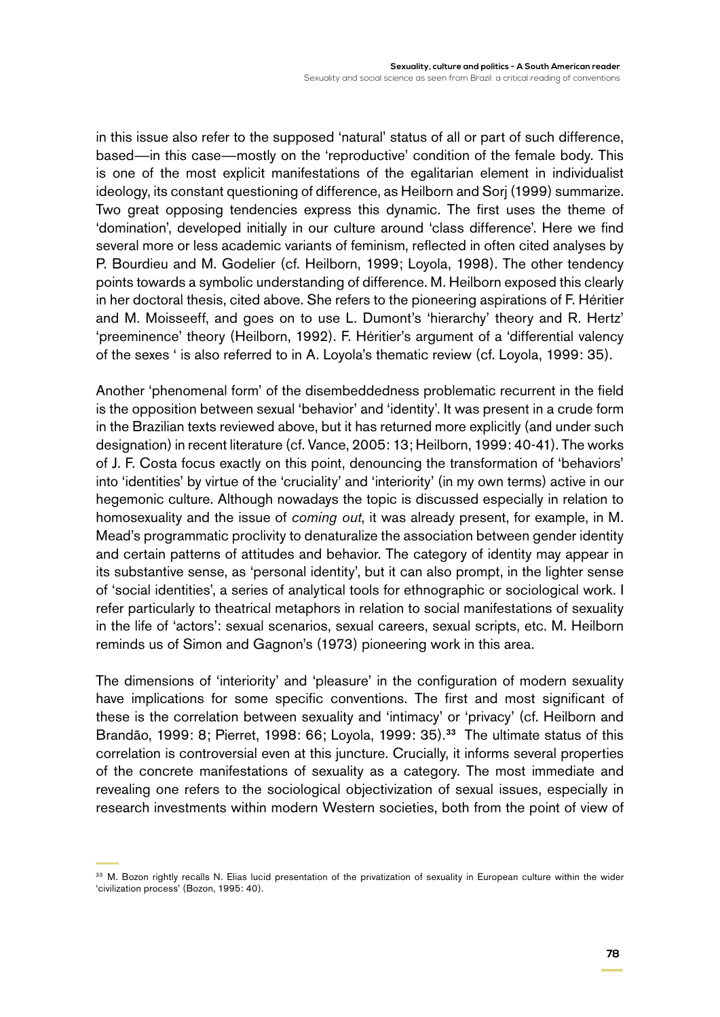in this issue also refer to the supposed 'natural' status of all or part of such difference, based—in this case—mostly on the 'reproductive' condition of the female body. This is one of the most explicit manifestations of the egalitarian element in individualist ideology, its constant questioning of difference, as Heilborn and Sorj (1999) summarize. Two great opposing tendencies express this dynamic. The first uses the theme of 'domination', developed initially in our culture around 'class difference'. Here we find several more or less academic variants of feminism, reflected in often cited analyses by P. Bourdieu and M. Godelier (cf. Heilborn, 1999; Loyola, 1998). The other tendency points towards a symbolic understanding of difference. M. Heilborn exposed this clearly in her doctoral thesis, cited above. She refers to the pioneering aspirations of F. Héritier and M. Moisseeff, and goes on to use L. Dumont's 'hierarchy' theory and R. Hertz' 'preeminence' theory (Heilborn, 1992). F. Héritier's argument of a 'differential valency of the sexes ' is also referred to in A. Loyola's thematic review (cf. Loyola, 1999: 35).

Another 'phenomenal form' of the disembeddedness problematic recurrent in the field is the opposition between sexual 'behavior' and 'identity'. It was present in a crude form in the Brazilian texts reviewed above, but it has returned more explicitly (and under such designation) in recent literature (cf. Vance, 2005: 13; Heilborn, 1999: 40-41). The works of J. F. Costa focus exactly on this point, denouncing the transformation of 'behaviors' into 'identities' by virtue of the 'cruciality' and 'interiority' (in my own terms) active in our hegemonic culture. Although nowadays the topic is discussed especially in relation to homosexuality and the issue of *coming out*, it was already present, for example, in M. Mead's programmatic proclivity to denaturalize the association between gender identity and certain patterns of attitudes and behavior. The category of identity may appear in its substantive sense, as 'personal identity', but it can also prompt, in the lighter sense of 'social identities', a series of analytical tools for ethnographic or sociological work. I refer particularly to theatrical metaphors in relation to social manifestations of sexuality in the life of 'actors': sexual scenarios, sexual careers, sexual scripts, etc. M. Heilborn reminds us of Simon and Gagnon's (1973) pioneering work in this area.

The dimensions of 'interiority' and 'pleasure' in the configuration of modern sexuality have implications for some specific conventions. The first and most significant of these is the correlation between sexuality and 'intimacy' or 'privacy' (cf. Heilborn and Brandão, 1999: 8; Pierret, 1998: 66; Loyola, 1999: 35).<sup>33</sup> The ultimate status of this correlation is controversial even at this juncture. Crucially, it informs several properties of the concrete manifestations of sexuality as a category. The most immediate and revealing one refers to the sociological objectivization of sexual issues, especially in research investments within modern Western societies, both from the point of view of

<sup>33</sup> M. Bozon rightly recalls N. Elias lucid presentation of the privatization of sexuality in European culture within the wider 'civilization process' (Bozon, 1995: 40).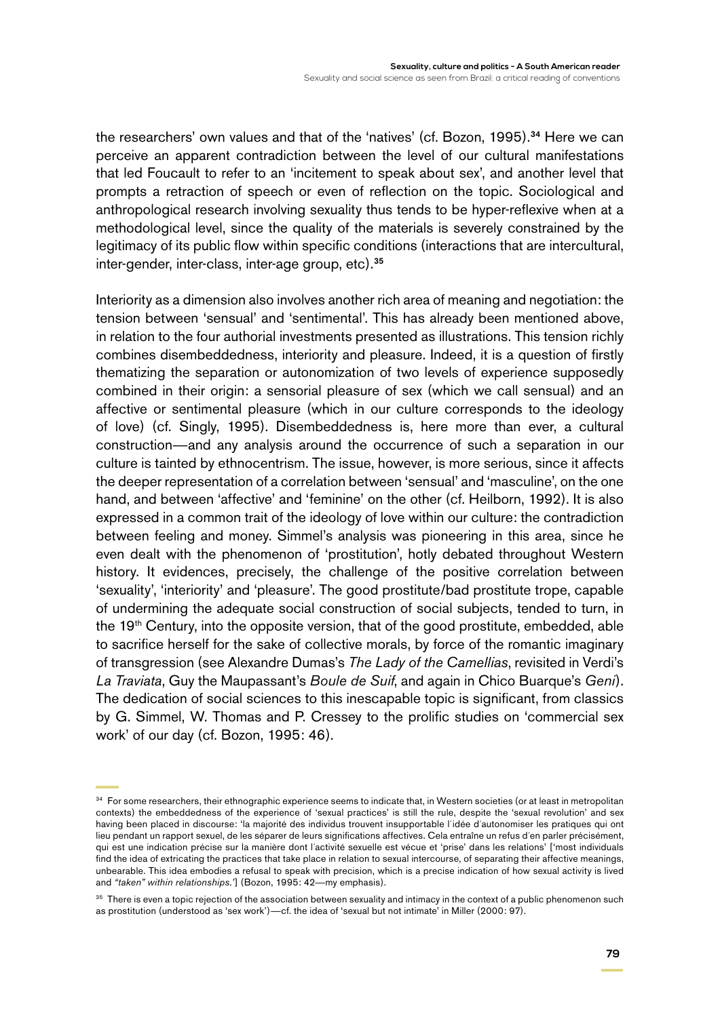the researchers' own values and that of the 'natives' (cf. Bozon, 1995).<sup>34</sup> Here we can perceive an apparent contradiction between the level of our cultural manifestations that led Foucault to refer to an 'incitement to speak about sex', and another level that prompts a retraction of speech or even of reflection on the topic. Sociological and anthropological research involving sexuality thus tends to be hyper-reflexive when at a methodological level, since the quality of the materials is severely constrained by the legitimacy of its public flow within specific conditions (interactions that are intercultural, inter-gender, inter-class, inter-age group, etc).<sup>35</sup>

Interiority as a dimension also involves another rich area of meaning and negotiation: the tension between 'sensual' and 'sentimental'. This has already been mentioned above, in relation to the four authorial investments presented as illustrations. This tension richly combines disembeddedness, interiority and pleasure. Indeed, it is a question of firstly thematizing the separation or autonomization of two levels of experience supposedly combined in their origin: a sensorial pleasure of sex (which we call sensual) and an affective or sentimental pleasure (which in our culture corresponds to the ideology of love) (cf. Singly, 1995). Disembeddedness is, here more than ever, a cultural construction—and any analysis around the occurrence of such a separation in our culture is tainted by ethnocentrism. The issue, however, is more serious, since it affects the deeper representation of a correlation between 'sensual' and 'masculine', on the one hand, and between 'affective' and 'feminine' on the other (cf. Heilborn, 1992). It is also expressed in a common trait of the ideology of love within our culture: the contradiction between feeling and money. Simmel's analysis was pioneering in this area, since he even dealt with the phenomenon of 'prostitution', hotly debated throughout Western history. It evidences, precisely, the challenge of the positive correlation between 'sexuality', 'interiority' and 'pleasure'. The good prostitute/bad prostitute trope, capable of undermining the adequate social construction of social subjects, tended to turn, in the 19th Century, into the opposite version, that of the good prostitute, embedded, able to sacrifice herself for the sake of collective morals, by force of the romantic imaginary of transgression (see Alexandre Dumas's *The Lady of the Camellias*, revisited in Verdi's *La Traviata*, Guy the Maupassant's *Boule de Suif*, and again in Chico Buarque's *Geni*). The dedication of social sciences to this inescapable topic is significant, from classics by G. Simmel, W. Thomas and P. Cressey to the prolific studies on 'commercial sex work' of our day (cf. Bozon, 1995: 46).

<sup>&</sup>lt;sup>34</sup> For some researchers, their ethnographic experience seems to indicate that, in Western societies (or at least in metropolitan contexts) the embeddedness of the experience of 'sexual practices' is still the rule, despite the 'sexual revolution' and sex having been placed in discourse: 'la majorité des individus trouvent insupportable l´idée d´autonomiser les pratiques qui ont lieu pendant un rapport sexuel, de les séparer de leurs significations affectives. Cela entraîne un refus d´en parler précisément, qui est une indication précise sur la manière dont l´activité sexuelle est vécue et 'prise' dans les relations' ['most individuals find the idea of extricating the practices that take place in relation to sexual intercourse, of separating their affective meanings, unbearable. This idea embodies a refusal to speak with precision, which is a precise indication of how sexual activity is lived and *"taken" within relationships.'*] (Bozon, 1995: 42—my emphasis).

<sup>&</sup>lt;sup>35</sup> There is even a topic rejection of the association between sexuality and intimacy in the context of a public phenomenon such as prostitution (understood as 'sex work')—cf. the idea of 'sexual but not intimate' in Miller (2000: 97).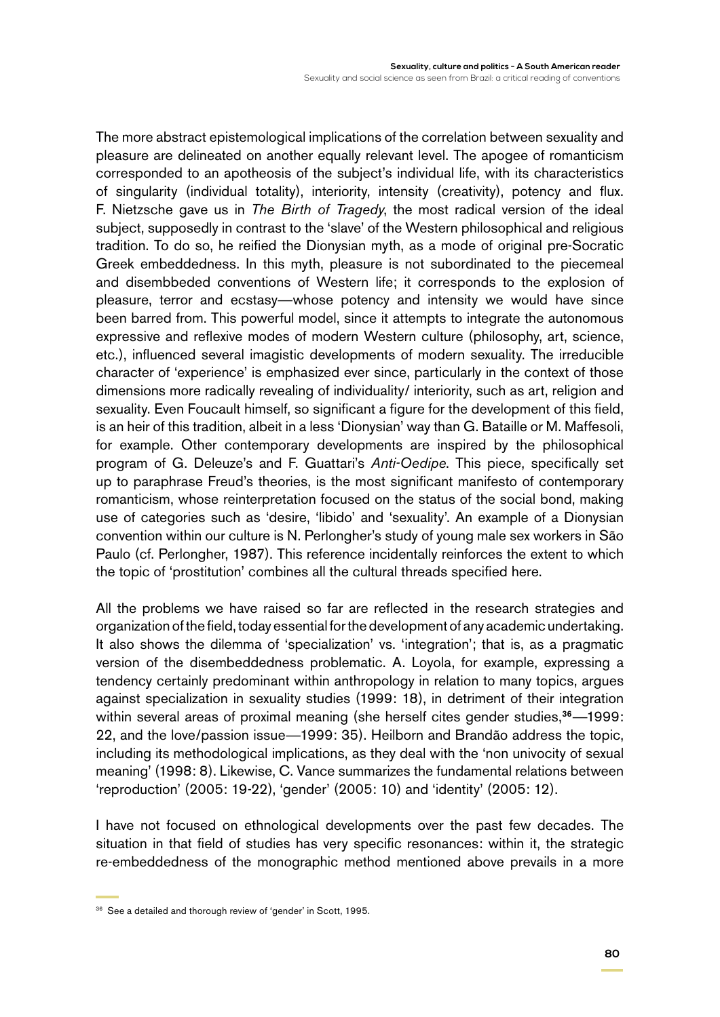The more abstract epistemological implications of the correlation between sexuality and pleasure are delineated on another equally relevant level. The apogee of romanticism corresponded to an apotheosis of the subject's individual life, with its characteristics of singularity (individual totality), interiority, intensity (creativity), potency and flux. F. Nietzsche gave us in *The Birth of Tragedy*, the most radical version of the ideal subject, supposedly in contrast to the 'slave' of the Western philosophical and religious tradition. To do so, he reified the Dionysian myth, as a mode of original pre-Socratic Greek embeddedness. In this myth, pleasure is not subordinated to the piecemeal and disembbeded conventions of Western life; it corresponds to the explosion of pleasure, terror and ecstasy—whose potency and intensity we would have since been barred from. This powerful model, since it attempts to integrate the autonomous expressive and reflexive modes of modern Western culture (philosophy, art, science, etc.), influenced several imagistic developments of modern sexuality. The irreducible character of 'experience' is emphasized ever since, particularly in the context of those dimensions more radically revealing of individuality/ interiority, such as art, religion and sexuality. Even Foucault himself, so significant a figure for the development of this field, is an heir of this tradition, albeit in a less 'Dionysian' way than G. Bataille or M. Maffesoli, for example. Other contemporary developments are inspired by the philosophical program of G. Deleuze's and F. Guattari's *Anti-Oedipe*. This piece, specifically set up to paraphrase Freud's theories, is the most significant manifesto of contemporary romanticism, whose reinterpretation focused on the status of the social bond, making use of categories such as 'desire, 'libido' and 'sexuality'. An example of a Dionysian convention within our culture is N. Perlongher's study of young male sex workers in São Paulo (cf. Perlongher, 1987). This reference incidentally reinforces the extent to which the topic of 'prostitution' combines all the cultural threads specified here.

All the problems we have raised so far are reflected in the research strategies and organization of the field, today essential for the development of any academic undertaking. It also shows the dilemma of 'specialization' vs. 'integration'; that is, as a pragmatic version of the disembeddedness problematic. A. Loyola, for example, expressing a tendency certainly predominant within anthropology in relation to many topics, argues against specialization in sexuality studies (1999: 18), in detriment of their integration within several areas of proximal meaning (she herself cites gender studies,<sup>36</sup>—1999: 22, and the love/passion issue—1999: 35). Heilborn and Brandão address the topic, including its methodological implications, as they deal with the 'non univocity of sexual meaning' (1998: 8). Likewise, C. Vance summarizes the fundamental relations between 'reproduction' (2005: 19-22), 'gender' (2005: 10) and 'identity' (2005: 12).

I have not focused on ethnological developments over the past few decades. The situation in that field of studies has very specific resonances: within it, the strategic re-embeddedness of the monographic method mentioned above prevails in a more

<sup>36</sup> See a detailed and thorough review of 'gender' in Scott, 1995.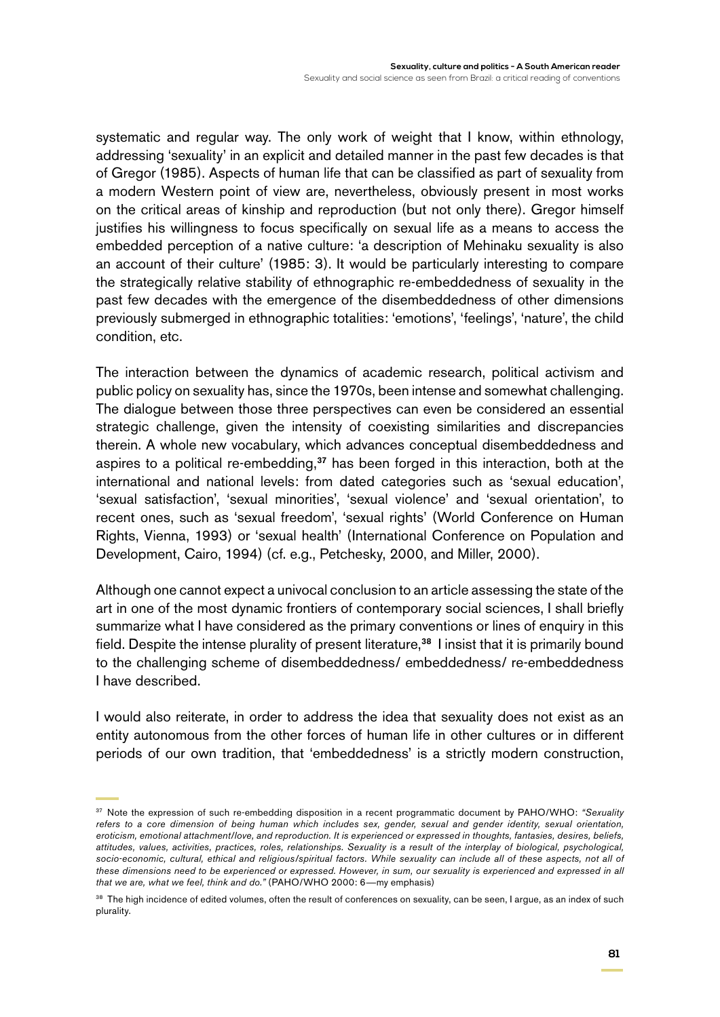systematic and regular way. The only work of weight that I know, within ethnology, addressing 'sexuality' in an explicit and detailed manner in the past few decades is that of Gregor (1985). Aspects of human life that can be classified as part of sexuality from a modern Western point of view are, nevertheless, obviously present in most works on the critical areas of kinship and reproduction (but not only there). Gregor himself justifies his willingness to focus specifically on sexual life as a means to access the embedded perception of a native culture: 'a description of Mehinaku sexuality is also an account of their culture' (1985: 3). It would be particularly interesting to compare the strategically relative stability of ethnographic re-embeddedness of sexuality in the past few decades with the emergence of the disembeddedness of other dimensions previously submerged in ethnographic totalities: 'emotions', 'feelings', 'nature', the child condition, etc.

The interaction between the dynamics of academic research, political activism and public policy on sexuality has, since the 1970s, been intense and somewhat challenging. The dialogue between those three perspectives can even be considered an essential strategic challenge, given the intensity of coexisting similarities and discrepancies therein. A whole new vocabulary, which advances conceptual disembeddedness and aspires to a political re-embedding,<sup>37</sup> has been forged in this interaction, both at the international and national levels: from dated categories such as 'sexual education', 'sexual satisfaction', 'sexual minorities', 'sexual violence' and 'sexual orientation', to recent ones, such as 'sexual freedom', 'sexual rights' (World Conference on Human Rights, Vienna, 1993) or 'sexual health' (International Conference on Population and Development, Cairo, 1994) (cf. e.g., Petchesky, 2000, and Miller, 2000).

Although one cannot expect a univocal conclusion to an article assessing the state of the art in one of the most dynamic frontiers of contemporary social sciences, I shall briefly summarize what I have considered as the primary conventions or lines of enquiry in this field. Despite the intense plurality of present literature,<sup>38</sup> I insist that it is primarily bound to the challenging scheme of disembeddedness/ embeddedness/ re-embeddedness I have described.

I would also reiterate, in order to address the idea that sexuality does not exist as an entity autonomous from the other forces of human life in other cultures or in different periods of our own tradition, that 'embeddedness' is a strictly modern construction,

<sup>37</sup> Note the expression of such re-embedding disposition in a recent programmatic document by PAHO/WHO: *"Sexuality refers to a core dimension of being human which includes sex, gender, sexual and gender identity, sexual orientation, eroticism, emotional attachment/love, and reproduction. It is experienced or expressed in thoughts, fantasies, desires, beliefs, attitudes, values, activities, practices, roles, relationships. Sexuality is a result of the interplay of biological, psychological,*  socio-economic, cultural, ethical and religious/spiritual factors. While sexuality can include all of these aspects, not all of *these dimensions need to be experienced or expressed. However, in sum, our sexuality is experienced and expressed in all that we are, what we feel, think and do."* (PAHO/WHO 2000: 6—my emphasis)

<sup>&</sup>lt;sup>38</sup> The high incidence of edited volumes, often the result of conferences on sexuality, can be seen, I argue, as an index of such plurality.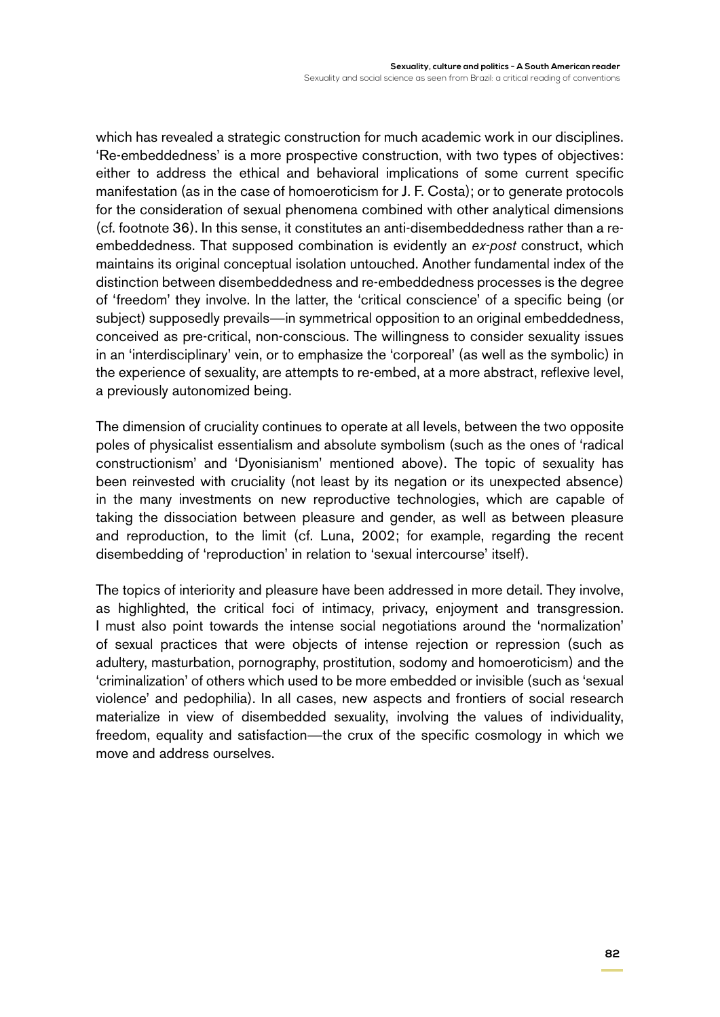which has revealed a strategic construction for much academic work in our disciplines. 'Re-embeddedness' is a more prospective construction, with two types of objectives: either to address the ethical and behavioral implications of some current specific manifestation (as in the case of homoeroticism for J. F. Costa); or to generate protocols for the consideration of sexual phenomena combined with other analytical dimensions (cf. footnote 36). In this sense, it constitutes an anti-disembeddedness rather than a reembeddedness. That supposed combination is evidently an *ex-post* construct, which maintains its original conceptual isolation untouched. Another fundamental index of the distinction between disembeddedness and re-embeddedness processes is the degree of 'freedom' they involve. In the latter, the 'critical conscience' of a specific being (or subject) supposedly prevails—in symmetrical opposition to an original embeddedness, conceived as pre-critical, non-conscious. The willingness to consider sexuality issues in an 'interdisciplinary' vein, or to emphasize the 'corporeal' (as well as the symbolic) in the experience of sexuality, are attempts to re-embed, at a more abstract, reflexive level, a previously autonomized being.

The dimension of cruciality continues to operate at all levels, between the two opposite poles of physicalist essentialism and absolute symbolism (such as the ones of 'radical constructionism' and 'Dyonisianism' mentioned above). The topic of sexuality has been reinvested with cruciality (not least by its negation or its unexpected absence) in the many investments on new reproductive technologies, which are capable of taking the dissociation between pleasure and gender, as well as between pleasure and reproduction, to the limit (cf. Luna, 2002; for example, regarding the recent disembedding of 'reproduction' in relation to 'sexual intercourse' itself).

The topics of interiority and pleasure have been addressed in more detail. They involve, as highlighted, the critical foci of intimacy, privacy, enjoyment and transgression. I must also point towards the intense social negotiations around the 'normalization' of sexual practices that were objects of intense rejection or repression (such as adultery, masturbation, pornography, prostitution, sodomy and homoeroticism) and the 'criminalization' of others which used to be more embedded or invisible (such as 'sexual violence' and pedophilia). In all cases, new aspects and frontiers of social research materialize in view of disembedded sexuality, involving the values of individuality, freedom, equality and satisfaction—the crux of the specific cosmology in which we move and address ourselves.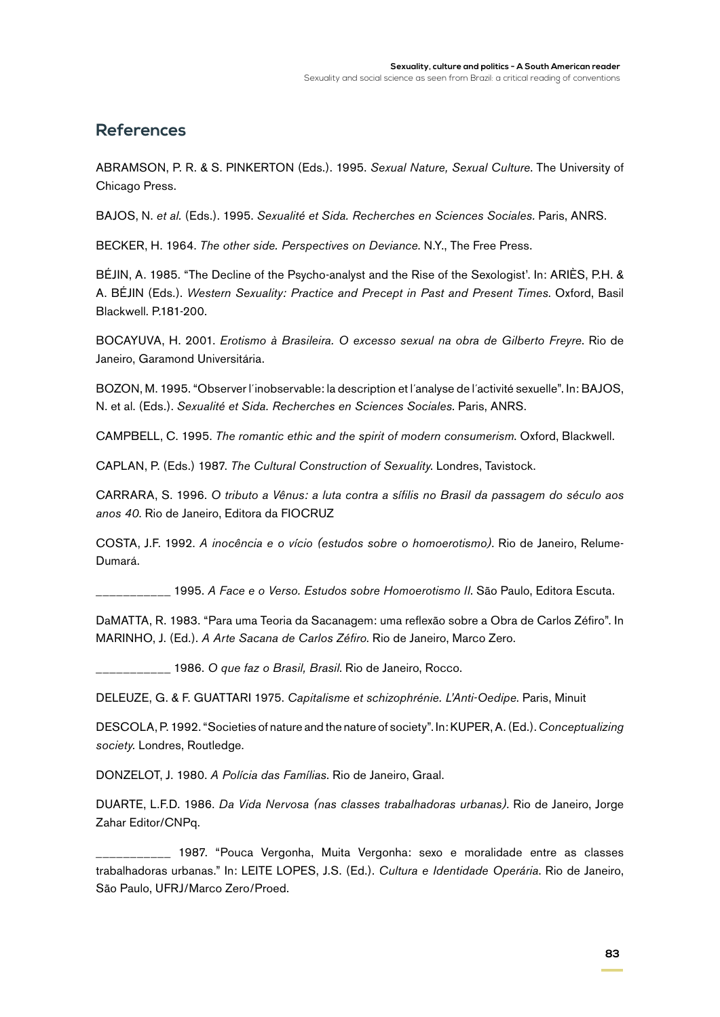#### **References**

ABRAMSON, P. R. & S. PINKERTON (Eds.). 1995. *Sexual Nature, Sexual Culture*. The University of Chicago Press.

BAJOS, N. *et al.* (Eds.). 1995. *Sexualité et Sida. Recherches en Sciences Sociales.* Paris, ANRS.

BECKER, H. 1964. *The other side. Perspectives on Deviance*. N.Y., The Free Press.

BÉJIN, A. 1985. "The Decline of the Psycho-analyst and the Rise of the Sexologist'. In: ARIÈS, P.H. & A. BÉJIN (Eds.). *Western Sexuality: Practice and Precept in Past and Present Times*. Oxford, Basil Blackwell. P.181-200.

BOCAYUVA, H. 2001. *Erotismo à Brasileira. O excesso sexual na obra de Gilberto Freyre*. Rio de Janeiro, Garamond Universitária.

BOZON, M. 1995. "Observer l´inobservable: la description et l´analyse de l´activité sexuelle". In: BAJOS, N. et al. (Eds.). *Sexualité et Sida. Recherches en Sciences Sociales*. Paris, ANRS.

CAMPBELL, C. 1995. *The romantic ethic and the spirit of modern consumerism*. Oxford, Blackwell.

CAPLAN, P. (Eds.) 1987. *The Cultural Construction of Sexuality*. Londres, Tavistock.

CARRARA, S. 1996. *O tributo a Vênus: a luta contra a sífilis no Brasil da passagem do século aos anos 40*. Rio de Janeiro, Editora da FIOCRUZ

COSTA, J.F. 1992. *A inocência e o vício (estudos sobre o homoerotismo)*. Rio de Janeiro, Relume-Dumará.

\_\_\_\_\_\_\_\_\_\_\_ 1995. *A Face e o Verso. Estudos sobre Homoerotismo II*. São Paulo, Editora Escuta.

DaMATTA, R. 1983. "Para uma Teoria da Sacanagem: uma reflexão sobre a Obra de Carlos Zéfiro". In MARINHO, J. (Ed.). *A Arte Sacana de Carlos Zéfiro*. Rio de Janeiro, Marco Zero.

\_\_\_\_\_\_\_\_\_\_\_ 1986. *O que faz o Brasil, Brasil*. Rio de Janeiro, Rocco.

DELEUZE, G. & F. Guattari 1975. *Capitalisme et schizophrénie. L'Anti-Oedipe*. Paris, Minuit

DESCOLA, P. 1992. "Societies of nature and the nature of society". In: KUPER, A. (Ed.). *Conceptualizing society.* Londres, Routledge.

DONZELOT, J. 1980. *A Polícia das Famílias*. Rio de Janeiro, Graal.

DUARTE, L.F.D. 1986. *Da Vida Nervosa (nas classes trabalhadoras urbanas)*. Rio de Janeiro, Jorge Zahar Editor/CNPq.

1987. "Pouca Vergonha, Muita Vergonha: sexo e moralidade entre as classes trabalhadoras urbanas." In: LEITE LOPES, J.S. (Ed.). *Cultura e Identidade Operária*. Rio de Janeiro, São Paulo, UFRJ/Marco Zero/Proed.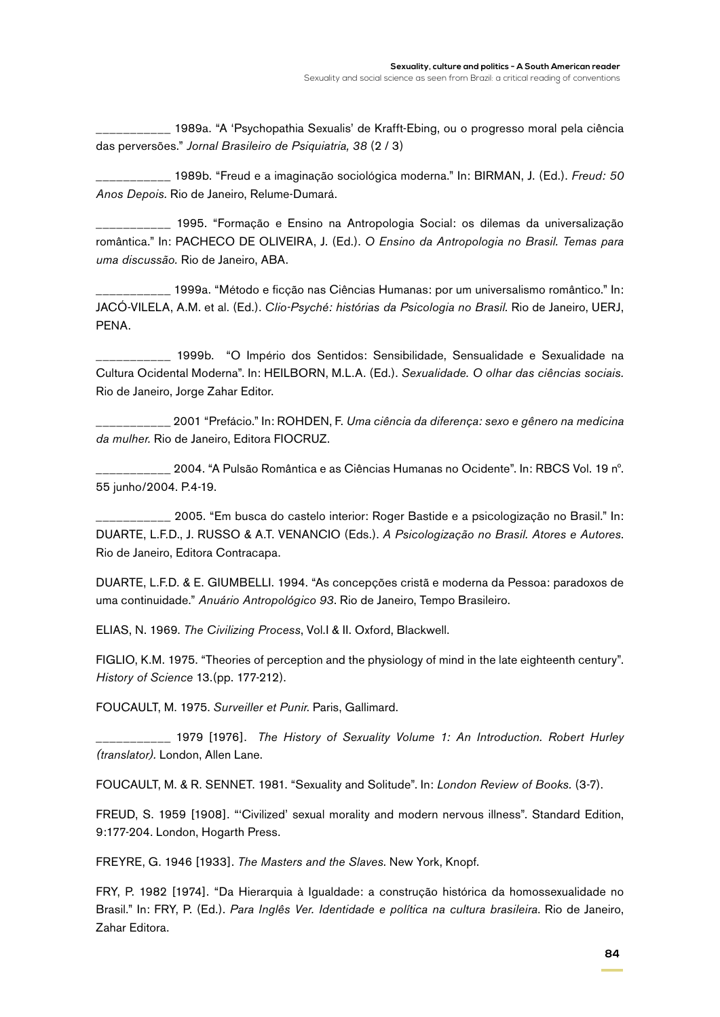\_\_\_\_\_\_\_\_\_\_\_ 1989a. "A 'Psychopathia Sexualis' de Krafft-Ebing, ou o progresso moral pela ciência das perversões." *Jornal Brasileiro de Psiquiatria, 38* (2 / 3)

\_\_\_\_\_\_\_\_\_\_\_ 1989b. "Freud e a imaginação sociológica moderna." In: BIRMAN, J. (Ed.). *Freud: 50 Anos Depois.* Rio de Janeiro, Relume-Dumará.

\_\_\_\_\_\_\_\_\_\_\_ 1995. "Formação e Ensino na Antropologia Social: os dilemas da universalização romântica." In: PACHECO DE OLIVEIRA, J. (Ed.). *O Ensino da Antropologia no Brasil. Temas para uma discussão.* Rio de Janeiro, ABA.

\_\_\_\_\_\_\_\_\_\_\_ 1999a. "Método e ficção nas Ciências Humanas: por um universalismo romântico." In: JACÓ-VILELA, A.M. et al. (Ed.). *Clio-Psyché: histórias da Psicologia no Brasil.* Rio de Janeiro, UERJ, PENA.

\_\_\_\_\_\_\_\_\_\_\_ 1999b. "O Império dos Sentidos: Sensibilidade, Sensualidade e Sexualidade na Cultura Ocidental Moderna". In: HEILBORN, M.L.A. (Ed.). *Sexualidade. O olhar das ciências sociais.* Rio de Janeiro, Jorge Zahar Editor.

\_\_\_\_\_\_\_\_\_\_\_ 2001 "Prefácio." In: ROHDEN, F. *Uma ciência da diferença: sexo e gênero na medicina da mulher.* Rio de Janeiro, Editora FIOCRUZ.

\_\_\_\_\_\_\_\_\_\_\_ 2004. "A Pulsão Romântica e as Ciências Humanas no Ocidente". In: RBCS Vol. 19 nº. 55 junho/2004. P.4-19.

\_\_\_\_\_\_\_\_\_\_\_ 2005. "Em busca do castelo interior: Roger Bastide e a psicologização no Brasil." In: DUARTE, L.F.D., J. RUSSO & A.T. VENANCIO (Eds.). *A Psicologização no Brasil. Atores e Autores*. Rio de Janeiro, Editora Contracapa.

DUARTE, L.F.D. & E. GIUMBELLI. 1994. "As concepções cristã e moderna da Pessoa: paradoxos de uma continuidade." *Anuário Antropológico 93*. Rio de Janeiro, Tempo Brasileiro.

ELIAS, N. 1969. *The Civilizing Process*, Vol.I & II. Oxford, Blackwell.

FIGLIO, K.M. 1975. "Theories of perception and the physiology of mind in the late eighteenth century". *History of Science* 13.(pp. 177-212).

FOUCAULT, M. 1975. *Surveiller et Punir*. Paris, Gallimard.

\_\_\_\_\_\_\_\_\_\_\_ 1979 [1976]. *The History of Sexuality Volume 1: An Introduction. Robert Hurley (translator).* London, Allen Lane.

FOUCAULT, M. & R. SENNET. 1981. "Sexuality and Solitude". In: *London Review of Books.* (3-7).

FREUD, S. 1959 [1908]. "'Civilized' sexual morality and modern nervous illness". Standard Edition, 9:177-204. London, Hogarth Press.

FREYRE, G. 1946 [1933]. *The Masters and the Slaves*. New York, Knopf.

FRY, P. 1982 [1974]. "Da Hierarquia à Igualdade: a construção histórica da homossexualidade no Brasil." In: FRY, P. (Ed.). *Para Inglês Ver. Identidade e política na cultura brasileira*. Rio de Janeiro, Zahar Editora.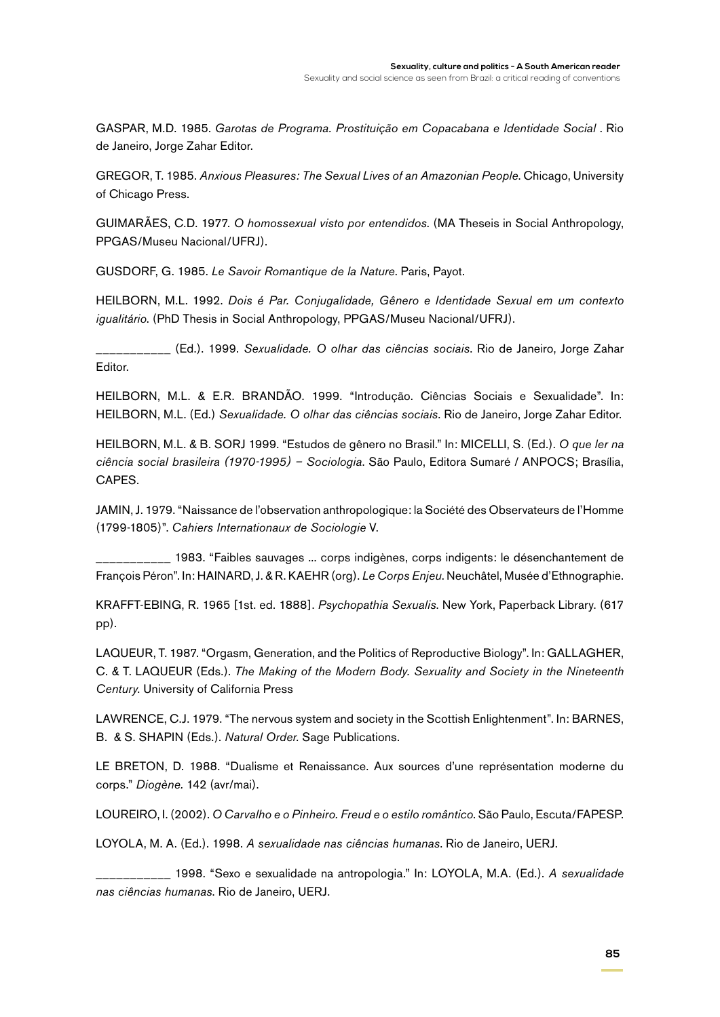GASPAR, M.D. 1985. Garotas de Programa. Prostituição em Copacabana e Identidade Social . Rio de Janeiro, Jorge Zahar Editor.

GREGOR, T. 1985. *Anxious Pleasures: The Sexual Lives of an Amazonian People*. Chicago, University of Chicago Press.

GUIMARÃES, C.D. 1977. *O homossexual visto por entendidos*. (MA Theseis in Social Anthropology, PPGAS/Museu Nacional/UFRJ).

GUSDORF, G. 1985. *Le Savoir Romantique de la Nature*. Paris, Payot.

HEILBORN, M.L. 1992. *Dois é Par. Conjugalidade, Gênero e Identidade Sexual em um contexto igualitário*. (PhD Thesis in Social Anthropology, PPGAS/Museu Nacional/UFRJ).

\_\_\_\_\_\_\_\_\_\_\_ (Ed.). 1999. *Sexualidade. O olhar das ciências sociais*. Rio de Janeiro, Jorge Zahar Editor.

HEILBORN, M.L. & E.R. BRANDÃO. 1999. "Introdução. Ciências Sociais e Sexualidade". In: HEILBORN, M.L. (Ed.) *Sexualidade. O olhar das ciências sociais*. Rio de Janeiro, Jorge Zahar Editor.

HEILBORN, M.L. & B. SORJ 1999. "Estudos de gênero no Brasil." In: MICELLI, S. (Ed.). *O que ler na ciência social brasileira (1970-1995) – Sociologia*. São Paulo, Editora Sumaré / ANPOCS; Brasília, CAPES.

JAMIN, J. 1979. "Naissance de l'observation anthropologique: la Société des Observateurs de l'Homme (1799-1805)". *Cahiers Internationaux de Sociologie* V.

\_\_\_\_\_\_\_\_\_\_\_ 1983. "Faibles sauvages ... corps indigènes, corps indigents: le désenchantement de François Péron". In: HAINARD, J. & R. KAEHR (org). *Le Corps Enjeu*. Neuchâtel, Musée d'Ethnographie.

KRAFFT-EBING, R. 1965 [1st. ed. 1888]. *Psychopathia Sexualis*. New York, Paperback Library. (617 pp).

LAQUEUR, T. 1987. "Orgasm, Generation, and the Politics of Reproductive Biology". In: GALLAGHER, C. & T. LAQUEUR (Eds.). *The Making of the Modern Body. Sexuality and Society in the Nineteenth Century*. University of California Press

LAWRENCE, C.J. 1979. "The nervous system and society in the Scottish Enlightenment". In: BARNES, B. & S. SHAPIN (Eds.). *Natural Order.* Sage Publications.

LE BRETON, D. 1988. "Dualisme et Renaissance. Aux sources d'une représentation moderne du corps." *Diogène.* 142 (avr/mai).

LOUREIRO, I. (2002). *O Carvalho e o Pinheiro. Freud e o estilo romântico*. São Paulo, Escuta/FAPESP.

LOYOLA, M. A. (Ed.). 1998. *A sexualidade nas ciências humanas*. Rio de Janeiro, UERJ.

\_\_\_\_\_\_\_\_\_\_\_ 1998. "Sexo e sexualidade na antropologia." In: LOYOLA, M.A. (Ed.). *A sexualidade nas ciências humanas*. Rio de Janeiro, UERJ.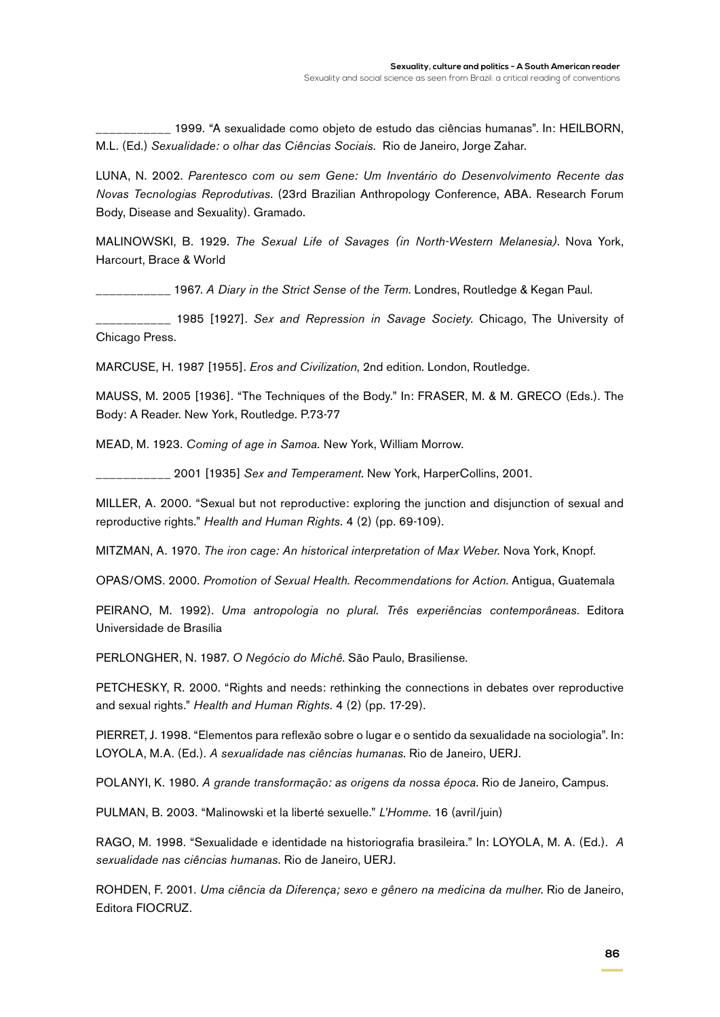\_\_\_\_\_\_\_\_\_\_\_ 1999. "A sexualidade como objeto de estudo das ciências humanas". In: HEILBORN, M.L. (Ed.) *Sexualidade: o olhar das Ciências Sociais.* Rio de Janeiro, Jorge Zahar.

LUNA, N. 2002. *Parentesco com ou sem Gene: Um Inventário do Desenvolvimento Recente das Novas Tecnologias Reprodutivas*. (23rd Brazilian Anthropology Conference, ABA. Research Forum Body, Disease and Sexuality). Gramado.

MALINOWSKI, B. 1929. *The Sexual Life of Savages (in North-Western Melanesia)*. Nova York, Harcourt, Brace & World

\_\_\_\_\_\_\_\_\_\_\_ 1967. *A Diary in the Strict Sense of the Term*. Londres, Routledge & Kegan Paul.

\_\_\_\_\_\_\_\_\_\_\_ 1985 [1927]. *Sex and Repression in Savage Society.* Chicago, The University of Chicago Press.

MARCUSE, H. 1987 [1955]. *Eros and Civilization*, 2nd edition. London, Routledge.

MAUSS, M. 2005 [1936]. "The Techniques of the Body." In: Fraser, M. & M. GRECO (Eds.). The Body: A Reader. New York, Routledge. P.73-77

MEAD, M. 1923. *Coming of age in Samoa.* New York, William Morrow.

\_\_\_\_\_\_\_\_\_\_\_ 2001 [1935] *Sex and Temperament*. New York, HarperCollins, 2001.

MILLER, A. 2000. "Sexual but not reproductive: exploring the junction and disjunction of sexual and reproductive rights." *Health and Human Rights.* 4 (2) (pp. 69-109).

MITZMAN, A. 1970. *The iron cage: An historical interpretation of Max Weber.* Nova York, Knopf.

OPAS/OMS. 2000. *Promotion of Sexual Health. Recommendations for Action*. Antigua, Guatemala

PEIRANO, M. 1992). *Uma antropologia no plural. Três experiências contemporâneas.* Editora Universidade de Brasília

PERLONGHER, N. 1987. *O Negócio do Michê*. São Paulo, Brasiliense.

PETCHESKY, R. 2000. "Rights and needs: rethinking the connections in debates over reproductive and sexual rights." *Health and Human Rights.* 4 (2) (pp. 17-29).

PIERRET, J. 1998. "Elementos para reflexão sobre o lugar e o sentido da sexualidade na sociologia". In: LOYOLA, M.A. (Ed.). *A sexualidade nas ciências humanas*. Rio de Janeiro, UERJ.

POLANYI, K. 1980. *A grande transformação: as origens da nossa época*. Rio de Janeiro, Campus.

PULMAN, B. 2003. "Malinowski et la liberté sexuelle." *L'Homme.* 16 (avril/juin)

RAGO, M. 1998. "Sexualidade e identidade na historiografia brasileira." In: LOYOLA, M. A. (Ed.). *A sexualidade nas ciências humanas*. Rio de Janeiro, UERJ.

ROHDEN, F. 2001. *Uma ciência da Diferença; sexo e gênero na medicina da mulher*. Rio de Janeiro, Editora FIOCRUZ.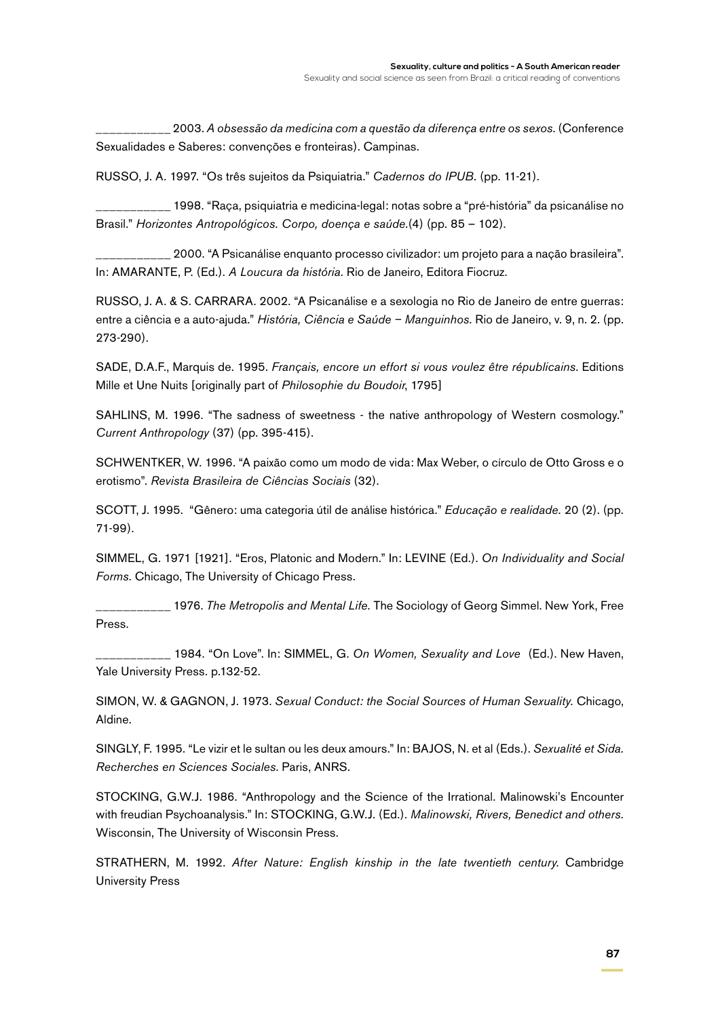\_\_\_\_\_\_\_\_\_\_\_ 2003. *A obsessão da medicina com a questão da diferença entre os sexos.* (Conference Sexualidades e Saberes: convenções e fronteiras). Campinas.

RUSSO, J. A. 1997. "Os três sujeitos da Psiquiatria." *Cadernos do IPUB.* (pp. 11-21).

\_\_\_\_\_\_\_\_\_\_\_ 1998. "Raça, psiquiatria e medicina-legal: notas sobre a "pré-história" da psicanálise no Brasil." *Horizontes Antropológicos. Corpo, doença e saúde.*(4) (pp. 85 – 102).

\_\_\_\_\_\_\_\_\_\_\_ 2000. "A Psicanálise enquanto processo civilizador: um projeto para a nação brasileira". In: AMARANTE, P. (Ed.). *A Loucura da história.* Rio de Janeiro, Editora Fiocruz.

RUSSO, J. A. & S. CARRARA. 2002. "A Psicanálise e a sexologia no Rio de Janeiro de entre guerras: entre a ciência e a auto-ajuda." *História, Ciência e Saúde – Manguinhos.* Rio de Janeiro, v. 9, n. 2. (pp. 273-290).

SADE, D.A.F., Marquis de. 1995. *Français, encore un effort si vous voulez être républicains*. Editions Mille et Une Nuits [originally part of *Philosophie du Boudoir*, 1795]

SAHLINS, M. 1996. "The sadness of sweetness - the native anthropology of Western cosmology." *Current Anthropology* (37) (pp. 395-415).

SCHWENTKER, W. 1996. "A paixão como um modo de vida: Max Weber, o círculo de Otto Gross e o erotismo". *Revista Brasileira de Ciências Sociais* (32).

SCOTT, J. 1995. "Gênero: uma categoria útil de análise histórica." *Educação e realidade.* 20 (2). (pp. 71-99).

SIMMEL, G. 1971 [1921]. "Eros, Platonic and Modern." In: LEVINE (Ed.). *On Individuality and Social Forms.* Chicago, The University of Chicago Press.

\_\_\_\_\_\_\_\_\_\_\_ 1976. *The Metropolis and Mental Life.* The Sociology of Georg Simmel. New York, Free Press.

\_\_\_\_\_\_\_\_\_\_\_ 1984. "On Love". In: SIMMEL, G. *On Women, Sexuality and Love* (Ed.). New Haven, Yale University Press. p.132-52.

SIMON, W. & GAGNON, J. 1973. *Sexual Conduct: the Social Sources of Human Sexuality.* Chicago, Aldine.

SINGLY, F. 1995. "Le vizir et le sultan ou les deux amours." In: BAJOS, N. et al (Eds.). *Sexualité et Sida. Recherches en Sciences Sociales*. Paris, ANRS.

STOCKING, G.W.J. 1986. "Anthropology and the Science of the Irrational. Malinowski's Encounter with freudian Psychoanalysis." In: STOCKING, G.W.J. (Ed.). *Malinowski, Rivers, Benedict and others.* Wisconsin, The University of Wisconsin Press.

STRATHERN, M. 1992. *After Nature: English kinship in the late twentieth century*. Cambridge University Press